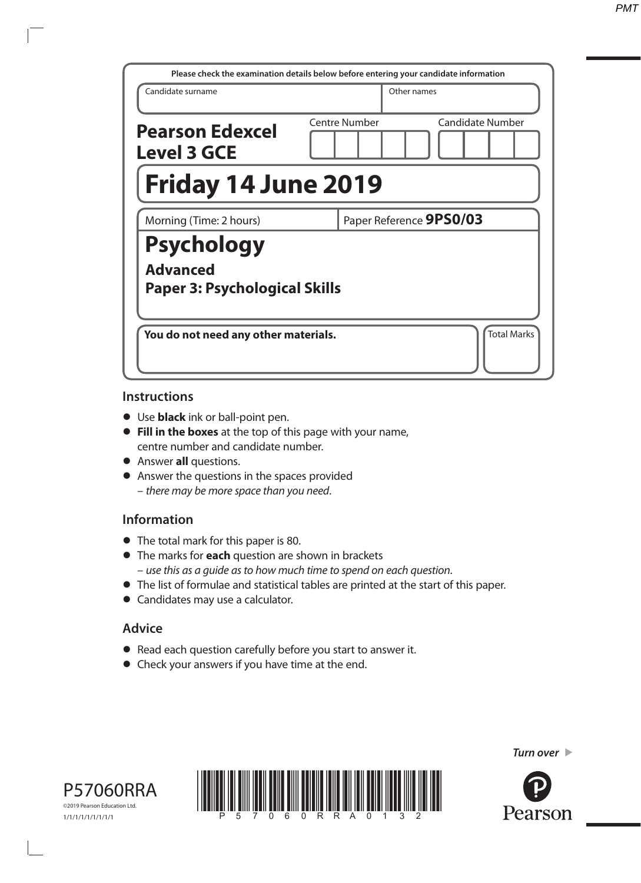| Candidate surname                                                            |                      | Please check the examination details below before entering your candidate information<br>Other names |
|------------------------------------------------------------------------------|----------------------|------------------------------------------------------------------------------------------------------|
| <b>Pearson Edexcel</b><br><b>Level 3 GCE</b>                                 | <b>Centre Number</b> | <b>Candidate Number</b>                                                                              |
| <b>Friday 14 June 2019</b>                                                   |                      |                                                                                                      |
| Morning (Time: 2 hours)                                                      |                      | Paper Reference 9PS0/03                                                                              |
| <b>Psychology</b><br><b>Advanced</b><br><b>Paper 3: Psychological Skills</b> |                      |                                                                                                      |
| You do not need any other materials.                                         |                      | <b>Total Marks</b>                                                                                   |

## **Instructions**

- **•** Use **black** ink or ball-point pen.
- **• Fill in the boxes** at the top of this page with your name, centre number and candidate number.
- **•** Answer **all** questions.
- **•** Answer the questions in the spaces provided – *there may be more space than you need*.

# **Information**

- **•** The total mark for this paper is 80.
- **•** The marks for **each** question are shown in brackets – *use this as a guide as to how much time to spend on each question*.
- **•** The list of formulae and statistical tables are printed at the start of this paper.
- **•** Candidates may use a calculator.

# **Advice**

- **•** Read each question carefully before you start to answer it.
- **•** Check your answers if you have time at the end.





*Turn over* 

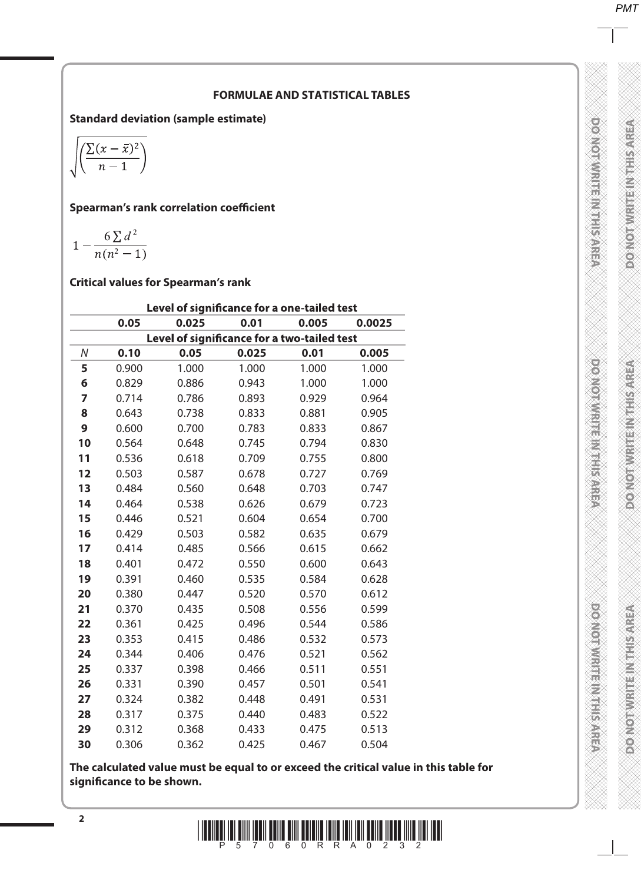**DOMONWRITE MAN ISANCE** 

**Designation** of the control

**DO NOTWART METRICAREA** 

**DONOTWRITEINGERM** 

**POATORWARE INSTRUMENT** 

**DO NOT WRITENNITS AREA** 

## **FORMULAE AND STATISTICAL TABLES**

**Standard deviation (sample estimate)**

$$
\sqrt{\left(\frac{\sum (x-\bar{x})^2}{n-1}\right)}
$$

### **Spearman's rank correlation coefficient**

$$
1 - \frac{6\sum d^2}{n(n^2-1)}
$$

### **Critical values for Spearman's rank**

|    |       | Level of significance for a one-tailed test |       |       |        |
|----|-------|---------------------------------------------|-------|-------|--------|
|    | 0.05  | 0.025                                       | 0.01  | 0.005 | 0.0025 |
|    |       | Level of significance for a two-tailed test |       |       |        |
| N  | 0.10  | 0.05                                        | 0.025 | 0.01  | 0.005  |
| 5  | 0.900 | 1.000                                       | 1.000 | 1.000 | 1.000  |
| 6  | 0.829 | 0.886                                       | 0.943 | 1.000 | 1.000  |
| 7  | 0.714 | 0.786                                       | 0.893 | 0.929 | 0.964  |
| 8  | 0.643 | 0.738                                       | 0.833 | 0.881 | 0.905  |
| 9  | 0.600 | 0.700                                       | 0.783 | 0.833 | 0.867  |
| 10 | 0.564 | 0.648                                       | 0.745 | 0.794 | 0.830  |
| 11 | 0.536 | 0.618                                       | 0.709 | 0.755 | 0.800  |
| 12 | 0.503 | 0.587                                       | 0.678 | 0.727 | 0.769  |
| 13 | 0.484 | 0.560                                       | 0.648 | 0.703 | 0.747  |
| 14 | 0.464 | 0.538                                       | 0.626 | 0.679 | 0.723  |
| 15 | 0.446 | 0.521                                       | 0.604 | 0.654 | 0.700  |
| 16 | 0.429 | 0.503                                       | 0.582 | 0.635 | 0.679  |
| 17 | 0.414 | 0.485                                       | 0.566 | 0.615 | 0.662  |
| 18 | 0.401 | 0.472                                       | 0.550 | 0.600 | 0.643  |
| 19 | 0.391 | 0.460                                       | 0.535 | 0.584 | 0.628  |
| 20 | 0.380 | 0.447                                       | 0.520 | 0.570 | 0.612  |
| 21 | 0.370 | 0.435                                       | 0.508 | 0.556 | 0.599  |
| 22 | 0.361 | 0.425                                       | 0.496 | 0.544 | 0.586  |
| 23 | 0.353 | 0.415                                       | 0.486 | 0.532 | 0.573  |
| 24 | 0.344 | 0.406                                       | 0.476 | 0.521 | 0.562  |
| 25 | 0.337 | 0.398                                       | 0.466 | 0.511 | 0.551  |
| 26 | 0.331 | 0.390                                       | 0.457 | 0.501 | 0.541  |
| 27 | 0.324 | 0.382                                       | 0.448 | 0.491 | 0.531  |
| 28 | 0.317 | 0.375                                       | 0.440 | 0.483 | 0.522  |
| 29 | 0.312 | 0.368                                       | 0.433 | 0.475 | 0.513  |
| 30 | 0.306 | 0.362                                       | 0.425 | 0.467 | 0.504  |

**The calculated value must be equal to or exceed the critical value in this table for significance to be shown.**

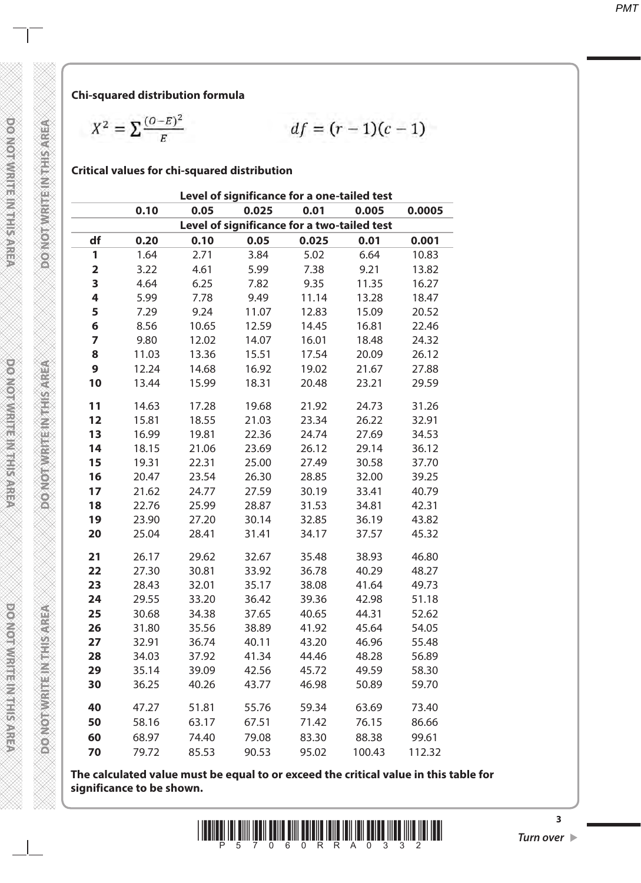**Chi-squared distribution formula**

$$
X^2 = \sum \frac{(O-E)^2}{E} \qquad df = (r-1)(c-1)
$$

**Critical values for chi-squared distribution**

|                         | Level of significance for a one-tailed test |       |                                             |       |        |        |  |  |  |  |  |  |  |
|-------------------------|---------------------------------------------|-------|---------------------------------------------|-------|--------|--------|--|--|--|--|--|--|--|
|                         | 0.10                                        | 0.05  | 0.025                                       | 0.01  | 0.005  | 0.0005 |  |  |  |  |  |  |  |
|                         |                                             |       | Level of significance for a two-tailed test |       |        |        |  |  |  |  |  |  |  |
| df                      | 0.20                                        | 0.10  | 0.05                                        | 0.025 | 0.01   | 0.001  |  |  |  |  |  |  |  |
| 1                       | 1.64                                        | 2.71  | 3.84                                        | 5.02  | 6.64   | 10.83  |  |  |  |  |  |  |  |
| $\overline{\mathbf{2}}$ | 3.22                                        | 4.61  | 5.99                                        | 7.38  | 9.21   | 13.82  |  |  |  |  |  |  |  |
| 3                       | 4.64                                        | 6.25  | 7.82                                        | 9.35  | 11.35  | 16.27  |  |  |  |  |  |  |  |
| 4                       | 5.99                                        | 7.78  | 9.49                                        | 11.14 | 13.28  | 18.47  |  |  |  |  |  |  |  |
| 5                       | 7.29                                        | 9.24  | 11.07                                       | 12.83 | 15.09  | 20.52  |  |  |  |  |  |  |  |
| 6                       | 8.56                                        | 10.65 | 12.59                                       | 14.45 | 16.81  | 22.46  |  |  |  |  |  |  |  |
| 7                       | 9.80                                        | 12.02 | 14.07                                       | 16.01 | 18.48  | 24.32  |  |  |  |  |  |  |  |
| 8                       | 11.03                                       | 13.36 | 15.51                                       | 17.54 | 20.09  | 26.12  |  |  |  |  |  |  |  |
| 9                       | 12.24                                       | 14.68 | 16.92                                       | 19.02 | 21.67  | 27.88  |  |  |  |  |  |  |  |
| 10                      | 13.44                                       | 15.99 | 18.31                                       | 20.48 | 23.21  | 29.59  |  |  |  |  |  |  |  |
| 11                      | 14.63                                       | 17.28 | 19.68                                       | 21.92 | 24.73  | 31.26  |  |  |  |  |  |  |  |
| 12                      | 15.81                                       | 18.55 | 21.03                                       | 23.34 | 26.22  | 32.91  |  |  |  |  |  |  |  |
| 13                      | 16.99                                       | 19.81 | 22.36                                       | 24.74 | 27.69  | 34.53  |  |  |  |  |  |  |  |
| 14                      | 18.15                                       | 21.06 | 23.69                                       | 26.12 | 29.14  | 36.12  |  |  |  |  |  |  |  |
| 15                      | 19.31                                       | 22.31 | 25.00                                       | 27.49 | 30.58  | 37.70  |  |  |  |  |  |  |  |
| 16                      | 20.47                                       | 23.54 | 26.30                                       | 28.85 | 32.00  | 39.25  |  |  |  |  |  |  |  |
| 17                      | 21.62                                       | 24.77 | 27.59                                       | 30.19 | 33.41  | 40.79  |  |  |  |  |  |  |  |
| 18                      | 22.76                                       | 25.99 | 28.87                                       | 31.53 | 34.81  | 42.31  |  |  |  |  |  |  |  |
| 19                      | 23.90                                       | 27.20 | 30.14                                       | 32.85 | 36.19  | 43.82  |  |  |  |  |  |  |  |
| 20                      | 25.04                                       | 28.41 | 31.41                                       | 34.17 | 37.57  | 45.32  |  |  |  |  |  |  |  |
| 21                      | 26.17                                       | 29.62 | 32.67                                       | 35.48 | 38.93  | 46.80  |  |  |  |  |  |  |  |
| 22                      | 27.30                                       | 30.81 | 33.92                                       | 36.78 | 40.29  | 48.27  |  |  |  |  |  |  |  |
| 23                      | 28.43                                       | 32.01 | 35.17                                       | 38.08 | 41.64  | 49.73  |  |  |  |  |  |  |  |
| 24                      | 29.55                                       | 33.20 | 36.42                                       | 39.36 | 42.98  | 51.18  |  |  |  |  |  |  |  |
| 25                      | 30.68                                       | 34.38 | 37.65                                       | 40.65 | 44.31  | 52.62  |  |  |  |  |  |  |  |
| 26                      | 31.80                                       | 35.56 | 38.89                                       | 41.92 | 45.64  | 54.05  |  |  |  |  |  |  |  |
| 27                      | 32.91                                       | 36.74 | 40.11                                       | 43.20 | 46.96  | 55.48  |  |  |  |  |  |  |  |
| 28                      | 34.03                                       | 37.92 | 41.34                                       | 44.46 | 48.28  | 56.89  |  |  |  |  |  |  |  |
| 29                      | 35.14                                       | 39.09 | 42.56                                       | 45.72 | 49.59  | 58.30  |  |  |  |  |  |  |  |
| 30                      | 36.25                                       | 40.26 | 43.77                                       | 46.98 | 50.89  | 59.70  |  |  |  |  |  |  |  |
| 40                      | 47.27                                       | 51.81 | 55.76                                       | 59.34 | 63.69  | 73.40  |  |  |  |  |  |  |  |
| 50                      | 58.16                                       | 63.17 | 67.51                                       | 71.42 | 76.15  | 86.66  |  |  |  |  |  |  |  |
| 60                      | 68.97                                       | 74.40 | 79.08                                       | 83.30 | 88.38  | 99.61  |  |  |  |  |  |  |  |
| 70                      | 79.72                                       | 85.53 | 90.53                                       | 95.02 | 100.43 | 112.32 |  |  |  |  |  |  |  |

**The calculated value must be equal to or exceed the critical value in this table for significance to be shown.**



**VERMER WARRINGTON OG** 

**DOMOTOWERENTHE SARES** 

**DOMOTIVE ENGINEER**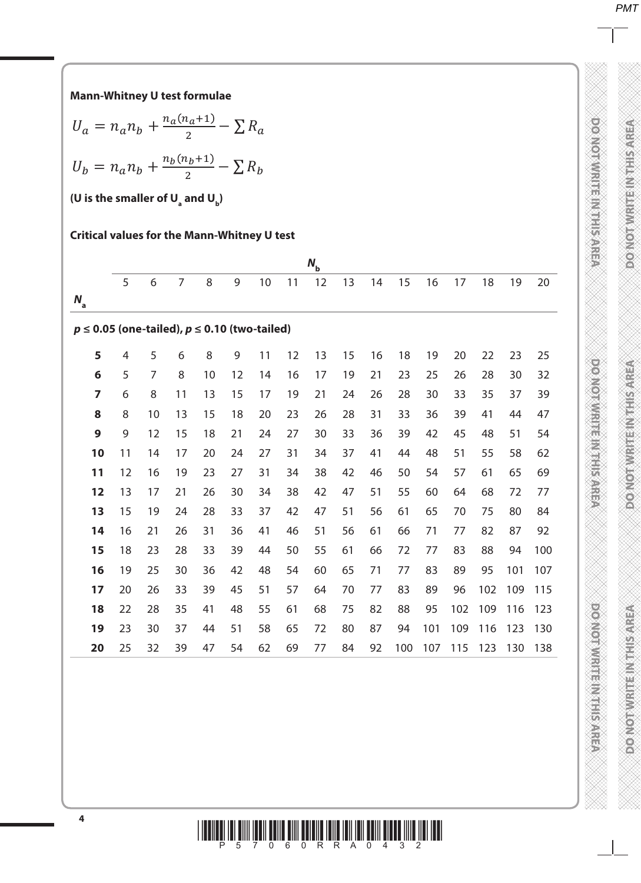| <b>Mann-Whitney U test formulae</b>                      |    |    |                |    |    |    |    |             |    |    |     |     |     |     |     |     |
|----------------------------------------------------------|----|----|----------------|----|----|----|----|-------------|----|----|-----|-----|-----|-----|-----|-----|
| $U_a = n_a n_b + \frac{n_a(n_a+1)}{2} - \sum R_a$        |    |    |                |    |    |    |    |             |    |    |     |     |     |     |     |     |
| $U_b = n_a n_b + \frac{n_b(n_b+1)}{2} - \sum R_b$        |    |    |                |    |    |    |    |             |    |    |     |     |     |     |     |     |
| (U is the smaller of $U_{\text{a}}$ and $U_{\text{b}}$ ) |    |    |                |    |    |    |    |             |    |    |     |     |     |     |     |     |
| <b>Critical values for the Mann-Whitney U test</b>       |    |    |                |    |    |    |    |             |    |    |     |     |     |     |     |     |
|                                                          |    |    |                |    |    |    |    | $N_{\rm b}$ |    |    |     |     |     |     |     |     |
|                                                          | 5  | 6  | $\overline{7}$ | 8  | 9  | 10 | 11 | 12          | 13 | 14 | 15  | 16  | 17  | 18  | 19  | 20  |
| $N_{\rm a}$                                              |    |    |                |    |    |    |    |             |    |    |     |     |     |     |     |     |
| $p \le 0.05$ (one-tailed), $p \le 0.10$ (two-tailed)     |    |    |                |    |    |    |    |             |    |    |     |     |     |     |     |     |
| 5                                                        | 4  | 5  | 6              | 8  | 9  | 11 | 12 | 13          | 15 | 16 | 18  | 19  | 20  | 22  | 23  | 25  |
| 6                                                        | 5  | 7  | 8              | 10 | 12 | 14 | 16 | 17          | 19 | 21 | 23  | 25  | 26  | 28  | 30  | 32  |
| $\overline{7}$                                           | 6  | 8  | 11             | 13 | 15 | 17 | 19 | 21          | 24 | 26 | 28  | 30  | 33  | 35  | 37  | 39  |
| 8                                                        | 8  | 10 | 13             | 15 | 18 | 20 | 23 | 26          | 28 | 31 | 33  | 36  | 39  | 41  | 44  | 47  |
| 9                                                        | 9  | 12 | 15             | 18 | 21 | 24 | 27 | 30          | 33 | 36 | 39  | 42  | 45  | 48  | 51  | 54  |
| 10                                                       | 11 | 14 | 17             | 20 | 24 | 27 | 31 | 34          | 37 | 41 | 44  | 48  | 51  | 55  | 58  | 62  |
| 11                                                       | 12 | 16 | 19             | 23 | 27 | 31 | 34 | 38          | 42 | 46 | 50  | 54  | 57  | 61  | 65  | 69  |
| 12                                                       | 13 | 17 | 21             | 26 | 30 | 34 | 38 | 42          | 47 | 51 | 55  | 60  | 64  | 68  | 72  | 77  |
| 13                                                       | 15 | 19 | 24             | 28 | 33 | 37 | 42 | 47          | 51 | 56 | 61  | 65  | 70  | 75  | 80  | 84  |
| 14                                                       | 16 | 21 | 26             | 31 | 36 | 41 | 46 | 51          | 56 | 61 | 66  | 71  | 77  | 82  | 87  | 92  |
| 15                                                       | 18 | 23 | 28             | 33 | 39 | 44 | 50 | 55          | 61 | 66 | 72  | 77  | 83  | 88  | 94  | 100 |
| 16                                                       | 19 | 25 | 30             | 36 | 42 | 48 | 54 | 60          | 65 | 71 | 77  | 83  | 89  | 95  | 101 | 107 |
| 17                                                       | 20 | 26 | 33             | 39 | 45 | 51 | 57 | 64          | 70 | 77 | 83  | 89  | 96  | 102 | 109 | 115 |
| 18                                                       | 22 | 28 | 35             | 41 | 48 | 55 | 61 | 68          | 75 | 82 | 88  | 95  | 102 | 109 | 116 | 123 |
| 19                                                       | 23 | 30 | 37             | 44 | 51 | 58 | 65 | 72          | 80 | 87 | 94  | 101 | 109 | 116 | 123 | 130 |
| 20                                                       | 25 | 32 | 39             | 47 | 54 | 62 | 69 | 77          | 84 | 92 | 100 | 107 | 115 | 123 | 130 | 138 |

DONOTWRITE IN THIS AREA

DOONOTWRITEINTHISAREA

**DOMOTWRITE IN THIS AREA** 

**DOWORWEITEINTHISAREA** 

**PONOTWRITE INTHIS AREA** 

DONOT WRITEINTHS AREA

\*P57060RRA0432\* **<sup>4</sup>**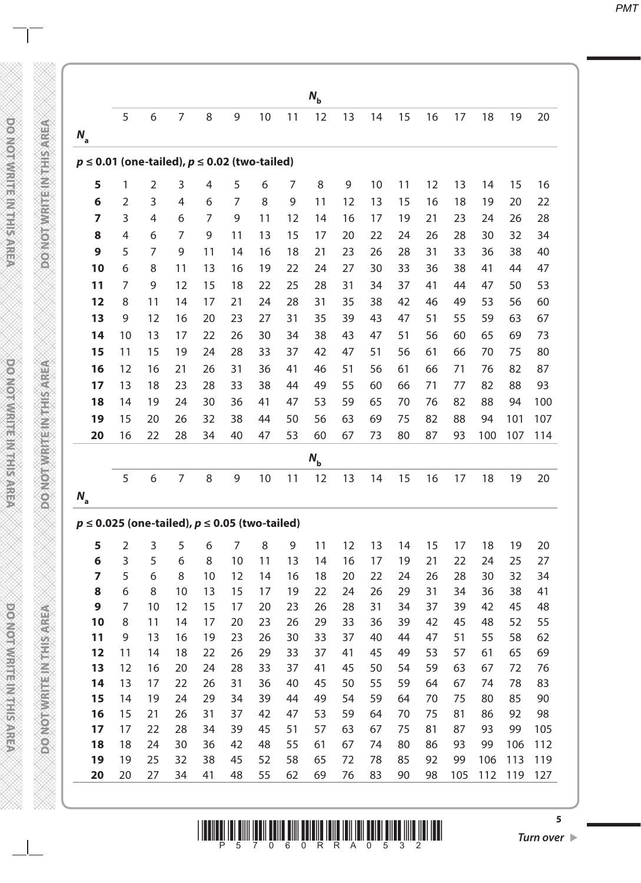|                                                       |                |                |                |          |          |          |          | $N_{\rm b}$ |          |          |          |          |          |          |          |          |
|-------------------------------------------------------|----------------|----------------|----------------|----------|----------|----------|----------|-------------|----------|----------|----------|----------|----------|----------|----------|----------|
|                                                       | 5              | 6              | 7              | 8        | 9        | 10       | 11       | 12          | 13       | 14       | 15       | 16       | 17       | 18       | 19       | 20       |
| $N_{\rm a}$                                           |                |                |                |          |          |          |          |             |          |          |          |          |          |          |          |          |
| $p \le 0.01$ (one-tailed), $p \le 0.02$ (two-tailed)  |                |                |                |          |          |          |          |             |          |          |          |          |          |          |          |          |
| 5                                                     | 1              | $\overline{2}$ | 3              | 4        | 5        | 6        | 7        | 8           | 9        | 10       | 11       | 12       | 13       | 14       | 15       | 16       |
| 6                                                     | $\overline{2}$ | 3              | 4              | 6        | 7        | 8        | 9        | 11          | 12       | 13       | 15       | 16       | 18       | 19       | 20       | 22       |
| 7                                                     | 3              | $\overline{4}$ | 6              | 7        | 9        | 11       | 12       | 14          | 16       | 17       | 19       | 21       | 23       | 24       | 26       | 28       |
| 8                                                     | $\overline{4}$ | 6              | $\overline{7}$ | 9        | 11       | 13       | 15       | 17          | 20       | 22       | 24       | 26       | 28       | 30       | 32       | 34       |
| 9                                                     | 5              | $\overline{7}$ | 9              | 11       | 14       | 16       | 18       | 21          | 23       | 26       | 28       | 31       | 33       | 36       | 38       | 40       |
| 10                                                    | 6              | 8              | 11             | 13       | 16       | 19       | 22       | 24          | 27       | 30       | 33       | 36       | 38       | 41       | 44       | 47       |
| 11                                                    | 7              | 9              | 12             | 15       | 18       | 22       | 25       | 28          | 31       | 34       | 37       | 41       | 44       | 47       | 50       | 53       |
| 12                                                    | 8              | 11             | 14             | 17       | 21       | 24       | 28       | 31          | 35       | 38       | 42       | 46       | 49       | 53       | 56       | 60       |
| 13                                                    | 9              | 12             | 16             | 20       | 23       | 27       | 31       | 35          | 39       | 43       | 47       | 51       | 55       | 59       | 63       | 67       |
| 14                                                    | 10             | 13             | 17             | 22       | 26       | 30       | 34       | 38          | 43       | 47       | 51       | 56       | 60       | 65       | 69       | 73       |
| 15                                                    | 11             | 15             | 19             | 24       | 28       | 33       | 37       | 42          | 47       | 51       | 56       | 61       | 66       | 70       | 75       | 80       |
| 16                                                    | 12             | 16             | 21             | 26       | 31       | 36       | 41       | 46          | 51       | 56       | 61       | 66       | 71       | 76       | 82       | 87       |
| 17                                                    | 13             | 18             | 23             | 28       | 33       | 38       | 44       | 49          | 55       | 60       | 66       | 71       | 77       | 82       | 88       | 93       |
| 18                                                    | 14             | 19             | 24             | 30       | 36       | 41       | 47       | 53          | 59       | 65       | 70       | 76       | 82       | 88       | 94       | 100      |
| 19                                                    | 15             | 20             | 26             | 32       | 38       | 44       | 50       | 56          | 63       | 69       | 75       | 82       | 88       | 94       | 101      | 107      |
| 20                                                    | 16             | 22             | 28             | 34       | 40       | 47       | 53       | 60          | 67       | 73       | 80       | 87       | 93       | 100      | 107      | 114      |
|                                                       |                |                |                |          |          |          |          | $N_{\rm b}$ |          |          |          |          |          |          |          |          |
|                                                       | 5              | 6              | $\overline{7}$ | 8        | 9        | 10       | 11       | 12          | 13       | 14       | 15       | 16       | 17       | 18       | 19       | 20       |
| $N_{\rm a}$                                           |                |                |                |          |          |          |          |             |          |          |          |          |          |          |          |          |
| $p \le 0.025$ (one-tailed), $p \le 0.05$ (two-tailed) |                |                |                |          |          |          |          |             |          |          |          |          |          |          |          |          |
| 5                                                     | $\overline{2}$ | 3              | 5              | 6        | 7        | 8        | 9        | 11          | 12       | 13       | 14       | 15       | 17       | 18       | 19       | 20       |
| 6                                                     | 3              | 5              | 6              | 8        | 10       | 11       | 13       | 14          | 16       | 17       | 19       | 21       | 22       | 24       | 25       | 27       |
| 7                                                     | 5              | 6              | 8              | 10       | 12       | 14       | 16       | 18          | 20       | 22       | 24       | 26       | 28       | 30       | 32       | 34       |
| 8                                                     | 6              | 8              | 10             | 13       | 15       | 17       | 19       | 22          | 24       | 26       | 29       | 31       | 34       | 36       | 38       | 41       |
| 9                                                     | $\overline{7}$ | 10             | 12             | 15       | 17       | 20       | 23       | 26          | 28       | 31       | 34       | 37       | 39       | 42       | 45       | 48       |
| 10<br>11                                              | 8<br>9         | 11<br>13       | 14<br>16       | 17<br>19 | 20<br>23 | 23<br>26 | 26<br>30 | 29<br>33    | 33<br>37 | 36<br>40 | 39<br>44 | 42<br>47 | 45<br>51 | 48<br>55 | 52<br>58 | 55       |
| 12                                                    | 11             | 14             | 18             | 22       | 26       | 29       | 33       | 37          | 41       | 45       | 49       | 53       | 57       | 61       | 65       | 62<br>69 |
| 13                                                    | 12             | 16             | 20             | 24       | 28       | 33       | 37       | 41          | 45       | 50       | 54       | 59       | 63       | 67       | 72       | 76       |
| 14                                                    | 13             | 17             | 22             | 26       | 31       | 36       | 40       | 45          | 50       | 55       | 59       | 64       | 67       | 74       | 78       | 83       |
| 15                                                    | 14             | 19             | 24             | 29       | 34       | 39       | 44       | 49          | 54       | 59       | 64       | 70       | 75       | 80       | 85       | 90       |
| 16                                                    | 15             | 21             | 26             | 31       | 37       | 42       | 47       | 53          | 59       | 64       | 70       | 75       | 81       | 86       | 92       | 98       |
| 17                                                    | 17             | 22             | 28             | 34       | 39       | 45       | 51       | 57          | 63       | 67       | 75       | 81       | 87       | 93       | 99       | 105      |
| 18                                                    | 18             | 24             | 30             | 36       | 42       | 48       | 55       | 61          | 67       | 74       | 80       | 86       | 93       | 99       | 106      | 112      |
| 19                                                    | 19             | 25             | 32             | 38       | 45       | 52       | 58       | 65          | 72       | 78       | 85       | 92       | 99       | 106      | 113      | 119      |
| 20                                                    | 20             | 27             | 34             | 41       | 48       | 55       | 62       | 69          | 76       | 83       | 90       | 98       | 105      | 112      | 119      | 127      |

\*P57060RRA0532\* *Turn over* 

**DO NOT WRITE IN THIS AREA** 

 $\overline{\phantom{a}}$ 

**DO NO MURITER NEEDS ASSESS DONOTWRITEINTHIS AREA** 

DOOVOLWRITEINTHISINGSAREA

**DO NOT WRITE IN THIS AREA**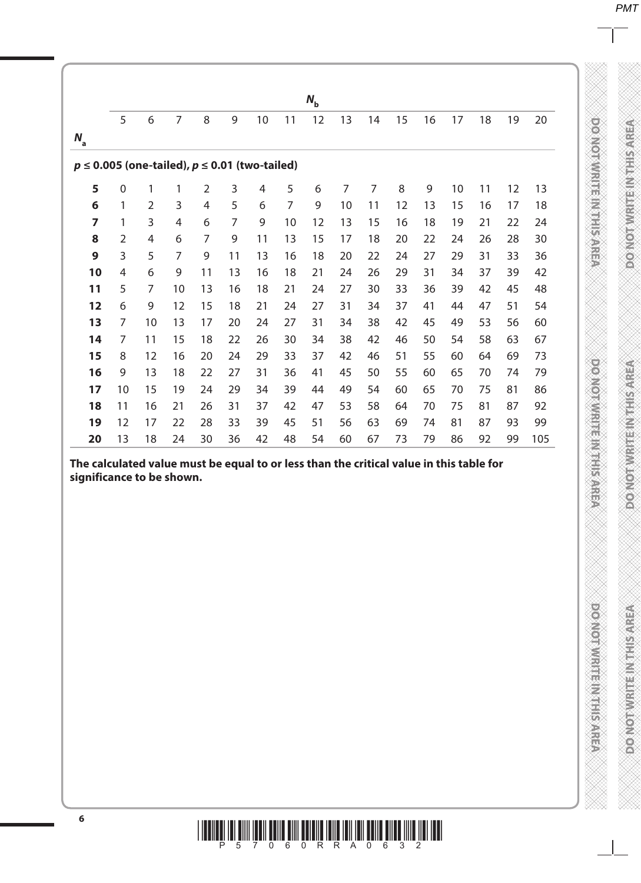DONOTWRITE IN THIS AREA

**Designation of the Science** 

**DOMOTWRITE IN THIS AREA** 

**DOMOTIVISTICINTISMS** 

**PONOTVEREINTHSAREA** 

**DO NOT WRITE INTHS AREA** 

|                                                       |                  |                |                |                |                |                |                | $N_{\rm b}$ |                |    |    |    |    |    |    |     |
|-------------------------------------------------------|------------------|----------------|----------------|----------------|----------------|----------------|----------------|-------------|----------------|----|----|----|----|----|----|-----|
|                                                       | 5                | 6              | $\overline{7}$ | 8              | 9              | 10             | 11             | 12          | 13             | 14 | 15 | 16 | 17 | 18 | 19 | 20  |
| $N_{\rm a}$                                           |                  |                |                |                |                |                |                |             |                |    |    |    |    |    |    |     |
| $p \le 0.005$ (one-tailed), $p \le 0.01$ (two-tailed) |                  |                |                |                |                |                |                |             |                |    |    |    |    |    |    |     |
| 5                                                     | $\boldsymbol{0}$ | 1              | 1              | $\overline{2}$ | 3              | $\overline{4}$ | 5              | 6           | $\overline{7}$ | 7  | 8  | 9  | 10 | 11 | 12 | 13  |
| 6                                                     | 1                | $\overline{2}$ | 3              | 4              | 5              | 6              | $\overline{7}$ | 9           | 10             | 11 | 12 | 13 | 15 | 16 | 17 | 18  |
| 7                                                     | 1                | 3              | 4              | 6              | $\overline{7}$ | 9              | 10             | 12          | 13             | 15 | 16 | 18 | 19 | 21 | 22 | 24  |
| 8                                                     | $\overline{2}$   | 4              | 6              | $\overline{7}$ | 9              | 11             | 13             | 15          | 17             | 18 | 20 | 22 | 24 | 26 | 28 | 30  |
| 9                                                     | 3                | 5              | $\overline{7}$ | 9              | 11             | 13             | 16             | 18          | 20             | 22 | 24 | 27 | 29 | 31 | 33 | 36  |
| 10                                                    | 4                | 6              | 9              | 11             | 13             | 16             | 18             | 21          | 24             | 26 | 29 | 31 | 34 | 37 | 39 | 42  |
| 11                                                    | 5                | 7              | 10             | 13             | 16             | 18             | 21             | 24          | 27             | 30 | 33 | 36 | 39 | 42 | 45 | 48  |
| 12                                                    | 6                | 9              | 12             | 15             | 18             | 21             | 24             | 27          | 31             | 34 | 37 | 41 | 44 | 47 | 51 | 54  |
| 13                                                    | 7                | 10             | 13             | 17             | 20             | 24             | 27             | 31          | 34             | 38 | 42 | 45 | 49 | 53 | 56 | 60  |
| 14                                                    | $\overline{7}$   | 11             | 15             | 18             | 22             | 26             | 30             | 34          | 38             | 42 | 46 | 50 | 54 | 58 | 63 | 67  |
| 15                                                    | 8                | 12             | 16             | 20             | 24             | 29             | 33             | 37          | 42             | 46 | 51 | 55 | 60 | 64 | 69 | 73  |
| 16                                                    | 9                | 13             | 18             | 22             | 27             | 31             | 36             | 41          | 45             | 50 | 55 | 60 | 65 | 70 | 74 | 79  |
| 17                                                    | 10               | 15             | 19             | 24             | 29             | 34             | 39             | 44          | 49             | 54 | 60 | 65 | 70 | 75 | 81 | 86  |
| 18                                                    | 11               | 16             | 21             | 26             | 31             | 37             | 42             | 47          | 53             | 58 | 64 | 70 | 75 | 81 | 87 | 92  |
| 19                                                    | 12               | 17             | 22             | 28             | 33             | 39             | 45             | 51          | 56             | 63 | 69 | 74 | 81 | 87 | 93 | 99  |
| 20                                                    | 13               | 18             | 24             | 30             | 36             | 42             | 48             | 54          | 60             | 67 | 73 | 79 | 86 | 92 | 99 | 105 |

**The calculated value must be equal to or less than the critical value in this table for significance to be shown.**

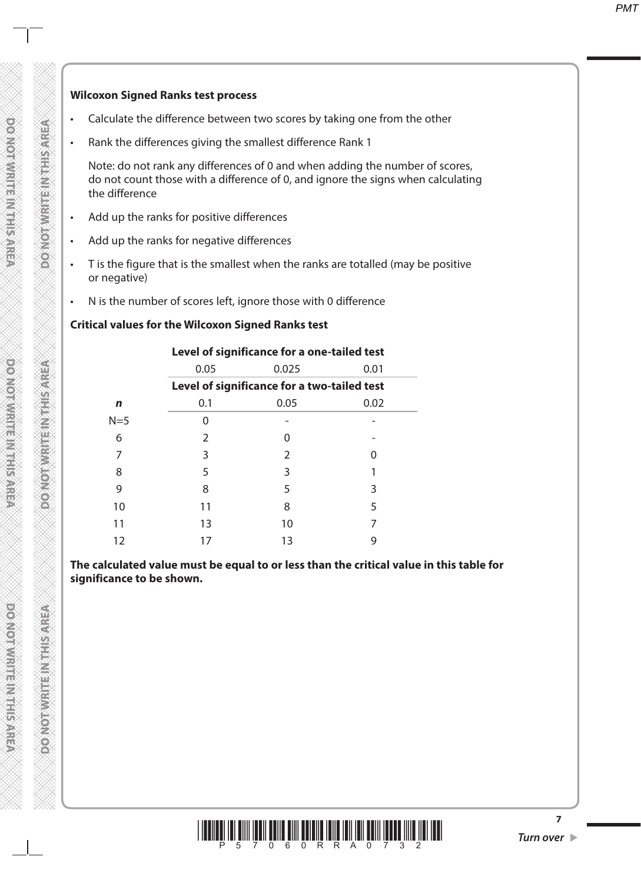# **Wilcoxon Signed Ranks test process**

- Calculate the difference between two scores by taking one from the other
- Rank the differences giving the smallest difference Rank 1

 Note: do not rank any differences of 0 and when adding the number of scores, do not count those with a difference of 0, and ignore the signs when calculating the difference

- Add up the ranks for positive differences
- Add up the ranks for negative differences
- T is the figure that is the smallest when the ranks are totalled (may be positive or negative)
- N is the number of scores left, ignore those with 0 difference

## **Critical values for the Wilcoxon Signed Ranks test**

|       |      | Level of significance for a one-tailed test |      |  |  |  |  |  |  |  |  |  |
|-------|------|---------------------------------------------|------|--|--|--|--|--|--|--|--|--|
|       | 0.05 | 0.025                                       | 0.01 |  |  |  |  |  |  |  |  |  |
|       |      | Level of significance for a two-tailed test |      |  |  |  |  |  |  |  |  |  |
| n     | 0.1  | 0.05                                        | 0.02 |  |  |  |  |  |  |  |  |  |
| $N=5$ | 0    |                                             |      |  |  |  |  |  |  |  |  |  |
| 6     | 2    |                                             |      |  |  |  |  |  |  |  |  |  |
| 7     | 3    | 2                                           |      |  |  |  |  |  |  |  |  |  |
| 8     | 5    | 3                                           |      |  |  |  |  |  |  |  |  |  |
| 9     | 8    | 5                                           | 3    |  |  |  |  |  |  |  |  |  |
| 10    | 11   | 8                                           | 5    |  |  |  |  |  |  |  |  |  |
| 11    | 13   | 10                                          |      |  |  |  |  |  |  |  |  |  |
| 12    | 17   | 13                                          | g    |  |  |  |  |  |  |  |  |  |

**The calculated value must be equal to or less than the critical value in this table for significance to be shown.** 



**7**

AREA

**BOANGTRUMMENT TE** 

**DOINOTWRITER VIRTISARES** 

DOM OF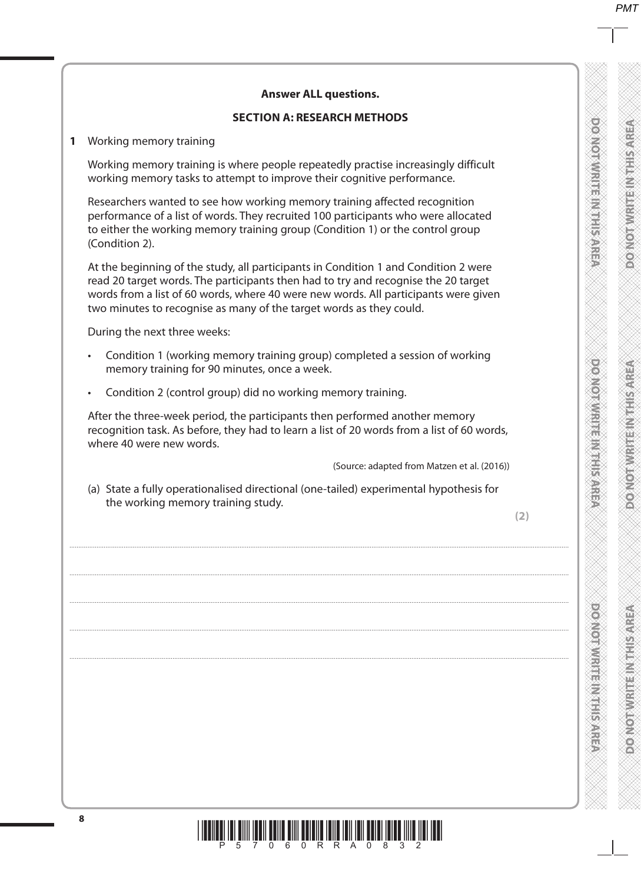#### **Answer ALL questions.**

#### **SECTION A: RESEARCH METHODS**

#### **1** Working memory training

Working memory training is where people repeatedly practise increasingly difficult working memory tasks to attempt to improve their cognitive performance.

Researchers wanted to see how working memory training affected recognition performance of a list of words. They recruited 100 participants who were allocated to either the working memory training group (Condition 1) or the control group (Condition 2).

At the beginning of the study, all participants in Condition 1 and Condition 2 were read 20 target words. The participants then had to try and recognise the 20 target words from a list of 60 words, where 40 were new words. All participants were given two minutes to recognise as many of the target words as they could.

During the next three weeks:

- Condition 1 (working memory training group) completed a session of working memory training for 90 minutes, once a week.
- Condition 2 (control group) did no working memory training.

After the three-week period, the participants then performed another memory recognition task. As before, they had to learn a list of 20 words from a list of 60 words, where 40 were new words.

(Source: adapted from Matzen et al. (2016))

(a) State a fully operationalised directional (one-tailed) experimental hypothesis for the working memory training study.

....................................................................................................................................................................................................................................................................................

....................................................................................................................................................................................................................................................................................

....................................................................................................................................................................................................................................................................................

....................................................................................................................................................................................................................................................................................

**SONORNIAIS NOTE** 

**CONGRETATION ENTIRES** 

**A HONGHEIM** 

**DOCKLOTAWRED NEWSFIRMS** 

**REPARENT PRODUCTS OF STREET** 

**PONTO HAVE ENGINEERS** 

\*P57060RRA0832\* **<sup>8</sup>**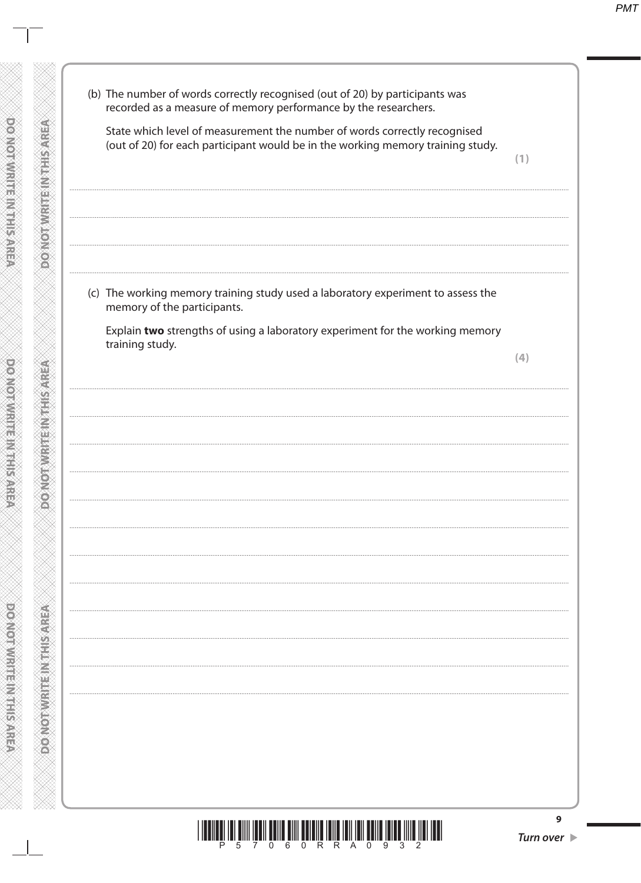| (b) The number of words correctly recognised (out of 20) by participants was<br>recorded as a measure of memory performance by the researchers.              |     |
|--------------------------------------------------------------------------------------------------------------------------------------------------------------|-----|
| State which level of measurement the number of words correctly recognised<br>(out of 20) for each participant would be in the working memory training study. | (1) |
| (c) The working memory training study used a laboratory experiment to assess the<br>memory of the participants.                                              |     |
| Explain two strengths of using a laboratory experiment for the working memory<br>training study.                                                             |     |
|                                                                                                                                                              | (4) |
|                                                                                                                                                              |     |
|                                                                                                                                                              |     |
|                                                                                                                                                              |     |
|                                                                                                                                                              |     |
|                                                                                                                                                              |     |
|                                                                                                                                                              |     |
|                                                                                                                                                              |     |
|                                                                                                                                                              |     |
|                                                                                                                                                              |     |
|                                                                                                                                                              |     |
|                                                                                                                                                              |     |

a ka

DOMOTWRITEM THIS AREA

**DONOTWRITE MTHIS AREA** 

DO NOT WRITE IN THIS AREA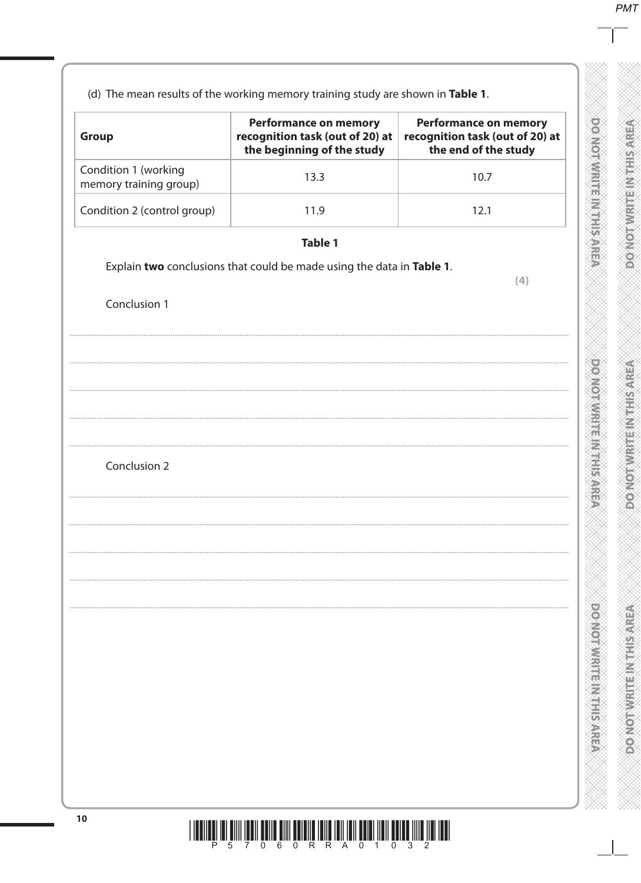(d) The mean results of the working memory training study are shown in Table 1.

| <b>Group</b>                                   | <b>Performance on memory</b><br>recognition task (out of 20) at<br>the beginning of the study | <b>Performance on memory</b><br>recognition task (out of 20) at<br>the end of the study |
|------------------------------------------------|-----------------------------------------------------------------------------------------------|-----------------------------------------------------------------------------------------|
| Condition 1 (working<br>memory training group) | 13.3                                                                                          | 10.7                                                                                    |
| Condition 2 (control group)                    | 11.9                                                                                          | 12.1                                                                                    |

# Table 1

Explain two conclusions that could be made using the data in Table 1.

 $(4)$ 

Conclusion 1

Conclusion 2

*CERT RESIDENT REPAIRING COMPOSITION* 

**PMT** 

**RESISTED IN THE PROPERTY OF STRON** 

 $\frac{1}{2}$ 

CONCO.

**ROX NOTABLE ENTERTAINMENT** 

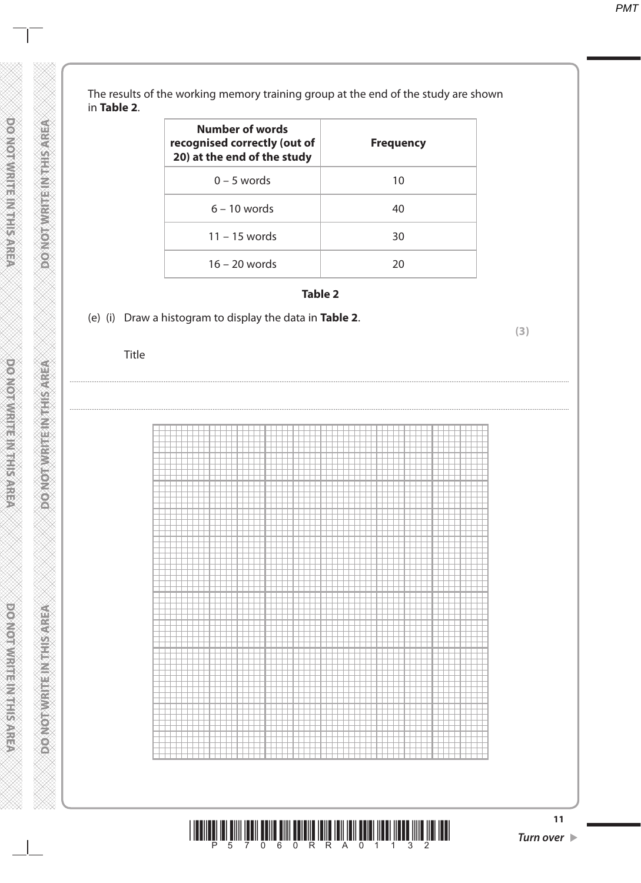The results of the working memory training group at the end of the study are shown in **Table 2**.

| Number of words<br>recognised correctly (out of<br>20) at the end of the study | <b>Frequency</b> |
|--------------------------------------------------------------------------------|------------------|
| $0 - 5$ words                                                                  | 10               |
| $6 - 10$ words                                                                 | 40               |
| $11 - 15$ words                                                                | 30               |
| $16 - 20$ words                                                                |                  |

#### **Table 2**

....................................................................................................................................................................................................................................................................................

# (e) (i) Draw a histogram to display the data in **Table 2**.

Title



**(3)**

**PONOTAVIERIE INTERNETA** 

**THIS MARK** 

Ž

**EDITORIONIC** 

**DO NOT WIRTHS IN THIS AREA**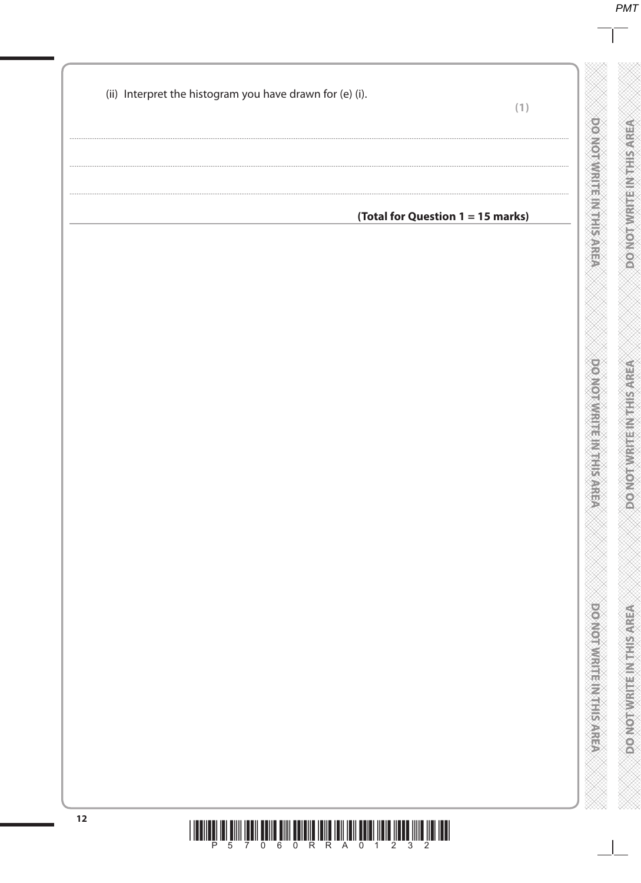|--|

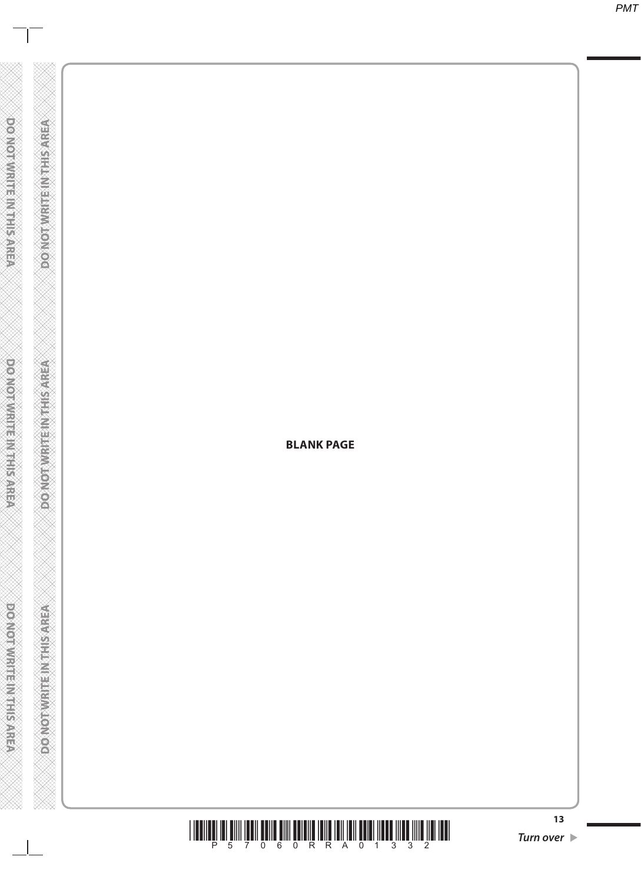|   |                                                                                                                                                                                                                                |   | Š |   |  |  |
|---|--------------------------------------------------------------------------------------------------------------------------------------------------------------------------------------------------------------------------------|---|---|---|--|--|
|   |                                                                                                                                                                                                                                |   |   |   |  |  |
|   |                                                                                                                                                                                                                                |   |   |   |  |  |
|   |                                                                                                                                                                                                                                |   |   |   |  |  |
|   |                                                                                                                                                                                                                                |   |   |   |  |  |
|   | ≽                                                                                                                                                                                                                              |   |   |   |  |  |
|   |                                                                                                                                                                                                                                |   |   |   |  |  |
|   | à                                                                                                                                                                                                                              |   |   |   |  |  |
|   |                                                                                                                                                                                                                                |   |   |   |  |  |
|   | ť                                                                                                                                                                                                                              |   |   |   |  |  |
|   |                                                                                                                                                                                                                                |   |   |   |  |  |
|   |                                                                                                                                                                                                                                |   |   |   |  |  |
|   |                                                                                                                                                                                                                                |   |   |   |  |  |
|   |                                                                                                                                                                                                                                |   |   |   |  |  |
|   | ŧ                                                                                                                                                                                                                              |   |   |   |  |  |
|   |                                                                                                                                                                                                                                |   |   |   |  |  |
|   | <b>SAN</b>                                                                                                                                                                                                                     |   |   |   |  |  |
|   |                                                                                                                                                                                                                                |   |   |   |  |  |
|   |                                                                                                                                                                                                                                |   |   |   |  |  |
|   |                                                                                                                                                                                                                                |   |   |   |  |  |
|   |                                                                                                                                                                                                                                |   |   |   |  |  |
|   | i.                                                                                                                                                                                                                             |   |   |   |  |  |
|   |                                                                                                                                                                                                                                |   |   |   |  |  |
|   |                                                                                                                                                                                                                                |   |   | è |  |  |
|   |                                                                                                                                                                                                                                |   |   |   |  |  |
|   | ⇔                                                                                                                                                                                                                              |   |   |   |  |  |
|   |                                                                                                                                                                                                                                |   |   |   |  |  |
|   |                                                                                                                                                                                                                                |   |   |   |  |  |
|   | Ŕ.                                                                                                                                                                                                                             |   |   |   |  |  |
|   |                                                                                                                                                                                                                                |   |   |   |  |  |
|   |                                                                                                                                                                                                                                |   | Ê |   |  |  |
|   |                                                                                                                                                                                                                                |   |   |   |  |  |
|   |                                                                                                                                                                                                                                |   |   |   |  |  |
|   |                                                                                                                                                                                                                                |   |   |   |  |  |
|   |                                                                                                                                                                                                                                |   |   |   |  |  |
|   |                                                                                                                                                                                                                                |   |   |   |  |  |
|   |                                                                                                                                                                                                                                |   |   |   |  |  |
|   | €                                                                                                                                                                                                                              |   |   |   |  |  |
|   |                                                                                                                                                                                                                                |   |   |   |  |  |
|   |                                                                                                                                                                                                                                |   |   |   |  |  |
|   |                                                                                                                                                                                                                                |   | ň |   |  |  |
|   |                                                                                                                                                                                                                                |   |   |   |  |  |
|   | 计划                                                                                                                                                                                                                             |   |   |   |  |  |
|   |                                                                                                                                                                                                                                |   |   |   |  |  |
|   |                                                                                                                                                                                                                                |   |   |   |  |  |
|   |                                                                                                                                                                                                                                |   |   |   |  |  |
|   |                                                                                                                                                                                                                                |   |   |   |  |  |
|   |                                                                                                                                                                                                                                |   |   |   |  |  |
|   | Ń                                                                                                                                                                                                                              |   |   |   |  |  |
|   |                                                                                                                                                                                                                                |   |   |   |  |  |
|   |                                                                                                                                                                                                                                | j |   |   |  |  |
|   |                                                                                                                                                                                                                                |   |   |   |  |  |
|   |                                                                                                                                                                                                                                |   |   |   |  |  |
|   | in and the control of the control of the control of the control of the control of the control of the control of the control of the control of the control of the control of the control of the control of the control of the c |   |   |   |  |  |
|   |                                                                                                                                                                                                                                |   |   |   |  |  |
|   |                                                                                                                                                                                                                                |   |   |   |  |  |
|   |                                                                                                                                                                                                                                |   |   |   |  |  |
|   |                                                                                                                                                                                                                                |   |   |   |  |  |
|   |                                                                                                                                                                                                                                |   |   |   |  |  |
| ú |                                                                                                                                                                                                                                |   |   |   |  |  |
|   |                                                                                                                                                                                                                                |   |   |   |  |  |
|   |                                                                                                                                                                                                                                |   |   |   |  |  |
|   |                                                                                                                                                                                                                                |   |   |   |  |  |
|   |                                                                                                                                                                                                                                |   |   |   |  |  |
|   |                                                                                                                                                                                                                                |   |   |   |  |  |
|   |                                                                                                                                                                                                                                |   |   |   |  |  |
|   |                                                                                                                                                                                                                                |   |   |   |  |  |
|   |                                                                                                                                                                                                                                |   |   |   |  |  |
|   |                                                                                                                                                                                                                                |   |   |   |  |  |
|   |                                                                                                                                                                                                                                |   |   |   |  |  |

**DOMOTIVEITEINTHIS AREA** 

**DO NO MURITER NEEDS ASSESS** 

**DO NOT WRITEIN THIS AREA** 

DOMOTWRITE IN THIS AREA

**DO NOT WRITE IN THIS AREA** 

 $\begin{array}{c} \hline \end{array} \begin{array}{c} \hline \end{array} \begin{array}{c} \hline \end{array} \begin{array}{c} \hline \end{array} \begin{array}{c} \hline \end{array} \begin{array}{c} \hline \end{array} \begin{array}{c} \hline \end{array} \begin{array}{c} \hline \end{array} \begin{array}{c} \hline \end{array} \begin{array}{c} \hline \end{array} \begin{array}{c} \hline \end{array} \begin{array}{c} \hline \end{array} \begin{array}{c} \hline \end{array} \begin{array}{c} \hline \end{array} \begin{array}{c} \hline$ 

### **BLANK PAGE**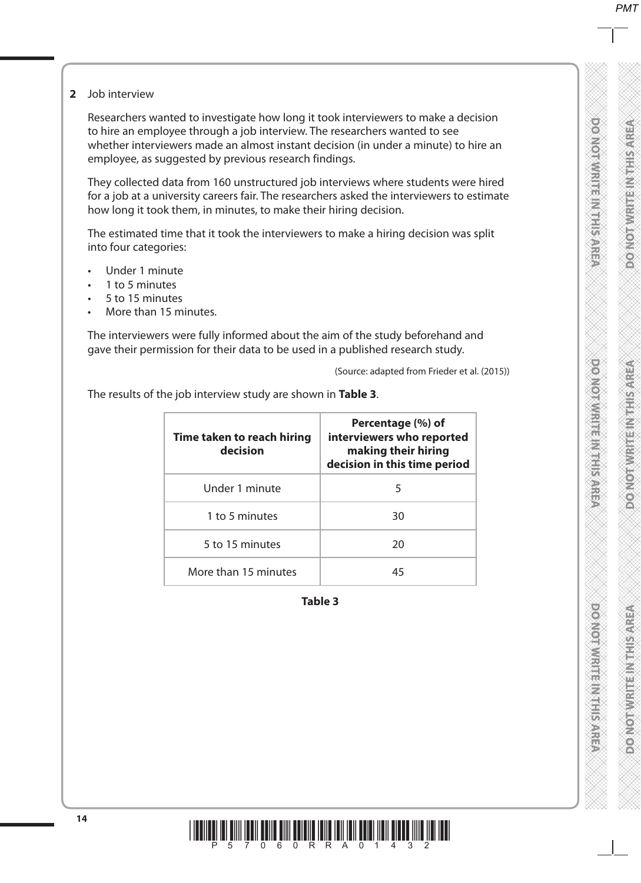**DOMORATION STREET AND ALSO** 

**PORTOR THE HISTORY** 

**RESISTED IN THE PROPERTY OF STRON** 

**2** Job interview

Researchers wanted to investigate how long it took interviewers to make a decision to hire an employee through a job interview. The researchers wanted to see whether interviewers made an almost instant decision (in under a minute) to hire an employee, as suggested by previous research findings.

They collected data from 160 unstructured job interviews where students were hired for a job at a university careers fair. The researchers asked the interviewers to estimate how long it took them, in minutes, to make their hiring decision.

The estimated time that it took the interviewers to make a hiring decision was split into four categories:

- Under 1 minute
- 1 to 5 minutes
- 5 to 15 minutes
- More than 15 minutes.

The interviewers were fully informed about the aim of the study beforehand and gave their permission for their data to be used in a published research study.

(Source: adapted from Frieder et al. (2015))

The results of the job interview study are shown in **Table 3**.

| Time taken to reach hiring<br>decision | Percentage (%) of<br>interviewers who reported<br>making their hiring<br>decision in this time period |
|----------------------------------------|-------------------------------------------------------------------------------------------------------|
| Under 1 minute                         | 5                                                                                                     |
| 1 to 5 minutes                         | 30                                                                                                    |
| 5 to 15 minutes                        | 20                                                                                                    |
| More than 15 minutes                   | 45                                                                                                    |

**Table 3**

**PONOTHUR TENNISONER** 

**POSTORO IN STREET PROPERTY STATE**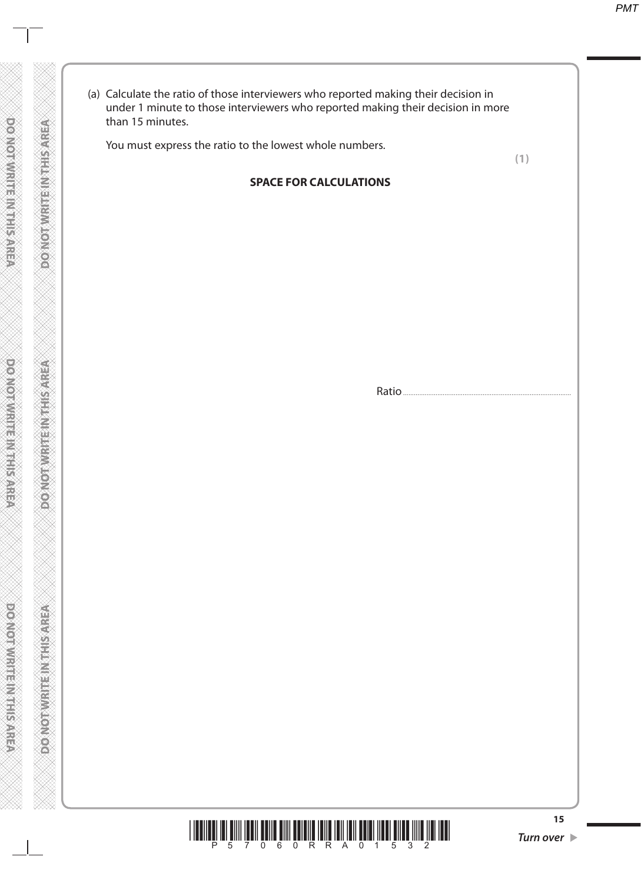

**DONOTWRITEINTEINSARE?**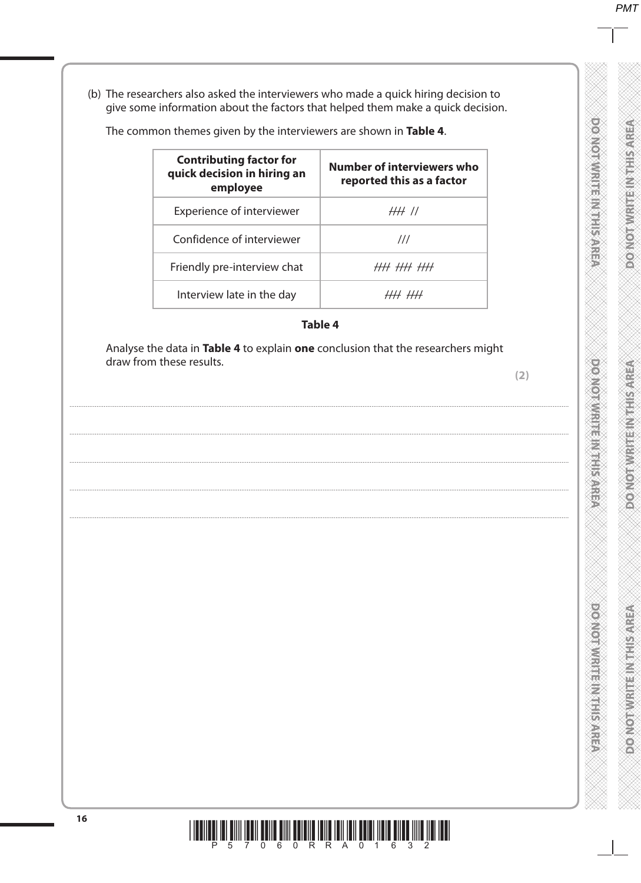(b) The researchers also asked the interviewers who made a quick hiring decision to give some information about the factors that helped them make a quick decision.

| <b>Contributing factor for</b><br>quick decision in hiring an<br>employee | Number of interviewers who<br>reported this as a factor |
|---------------------------------------------------------------------------|---------------------------------------------------------|
| <b>Experience of interviewer</b>                                          | HH 11                                                   |
| Confidence of interviewer                                                 | III                                                     |
| Friendly pre-interview chat                                               | <del>НН НН НН</del>                                     |
| Interview late in the day                                                 |                                                         |

The common themes given by the interviewers are shown in Table 4.

#### Table 4

Analyse the data in Table 4 to explain one conclusion that the researchers might draw from these results.

 $(2)$ 

*CERT RESIDENT REPAIRING COMPOSITION* 

**PMT** 

**RESISTED IN THE PROPERTY OF STRON** 

**DOMORAGE HAVE** 

 $\frac{1}{2}$ 

**WARD AND ARRIVED AND ARR** 

III <u> IIII ITTII TUIT TIII TUITEIT ITII TUI TUI TUI TUITEITUUT III T</u>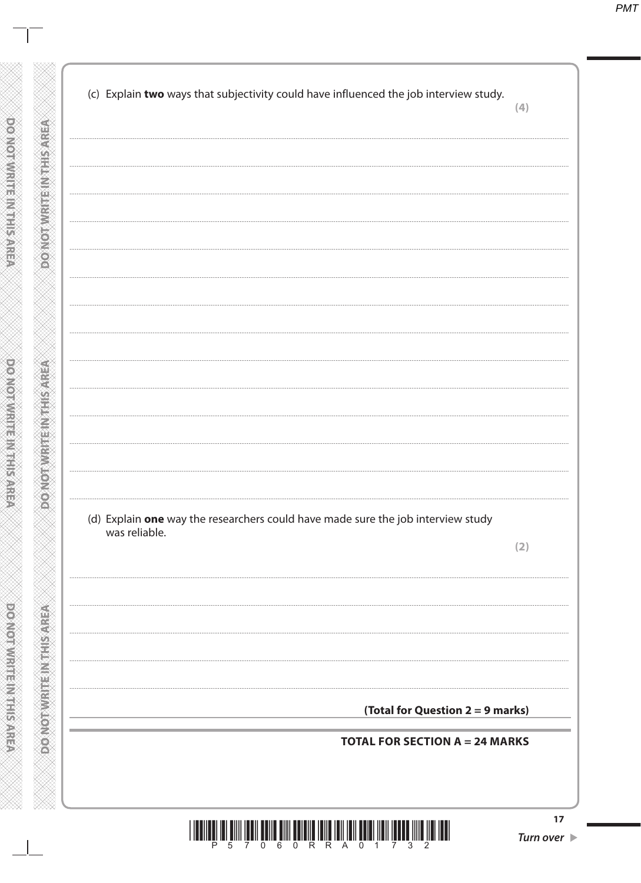|               | (c) Explain two ways that subjectivity could have influenced the job interview study.<br>(4) |
|---------------|----------------------------------------------------------------------------------------------|
|               |                                                                                              |
|               |                                                                                              |
|               |                                                                                              |
|               |                                                                                              |
|               |                                                                                              |
|               |                                                                                              |
|               |                                                                                              |
|               |                                                                                              |
|               |                                                                                              |
|               |                                                                                              |
|               |                                                                                              |
|               | (d) Explain one way the researchers could have made sure the job interview study             |
| was reliable. | (2)                                                                                          |
|               |                                                                                              |
|               |                                                                                              |
|               |                                                                                              |
|               |                                                                                              |
|               |                                                                                              |
|               | (Total for Question 2 = 9 marks)                                                             |
|               | <b>TOTAL FOR SECTION A = 24 MARKS</b>                                                        |
|               |                                                                                              |

**DONOTWRITEINING** 

**DOWNOTIVE INTERNATION** 

poworwratewydraer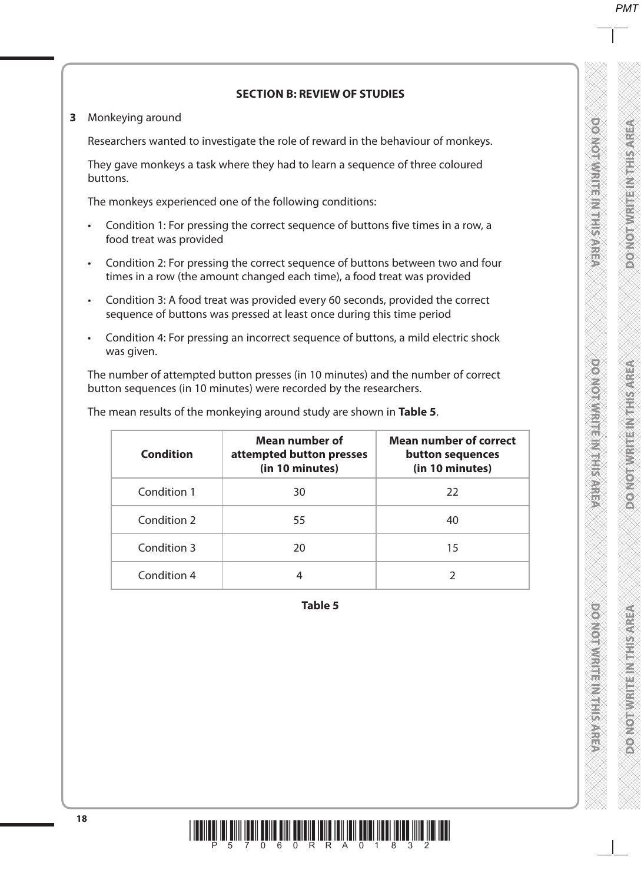### **SECTION B: REVIEW OF STUDIES**

**3** Monkeying around

Researchers wanted to investigate the role of reward in the behaviour of monkeys.

They gave monkeys a task where they had to learn a sequence of three coloured buttons.

The monkeys experienced one of the following conditions:

- Condition 1: For pressing the correct sequence of buttons five times in a row, a food treat was provided
- Condition 2: For pressing the correct sequence of buttons between two and four times in a row (the amount changed each time), a food treat was provided
- Condition 3: A food treat was provided every 60 seconds, provided the correct sequence of buttons was pressed at least once during this time period
- Condition 4: For pressing an incorrect sequence of buttons, a mild electric shock was given.

The number of attempted button presses (in 10 minutes) and the number of correct button sequences (in 10 minutes) were recorded by the researchers.

| <b>Condition</b> | Mean number of<br>attempted button presses<br>(in 10 minutes) | <b>Mean number of correct</b><br>button sequences<br>(in 10 minutes) |
|------------------|---------------------------------------------------------------|----------------------------------------------------------------------|
| Condition 1      | 30                                                            | 22                                                                   |
| Condition 2      | 55                                                            | 40                                                                   |
| Condition 3      | 20                                                            | 15                                                                   |
| Condition 4      |                                                               |                                                                      |

The mean results of the monkeying around study are shown in **Table 5**.

**Table 5**

**DOMOROVICE PRINTING AND LIGHT** 

DONOMIC MINISTERS

powers in the market system

**RESING THE METHODS ON STRUCT** 

**PORTOR THE HISTORY** 

**RESISTED IN THE PROPERTY OF STRON**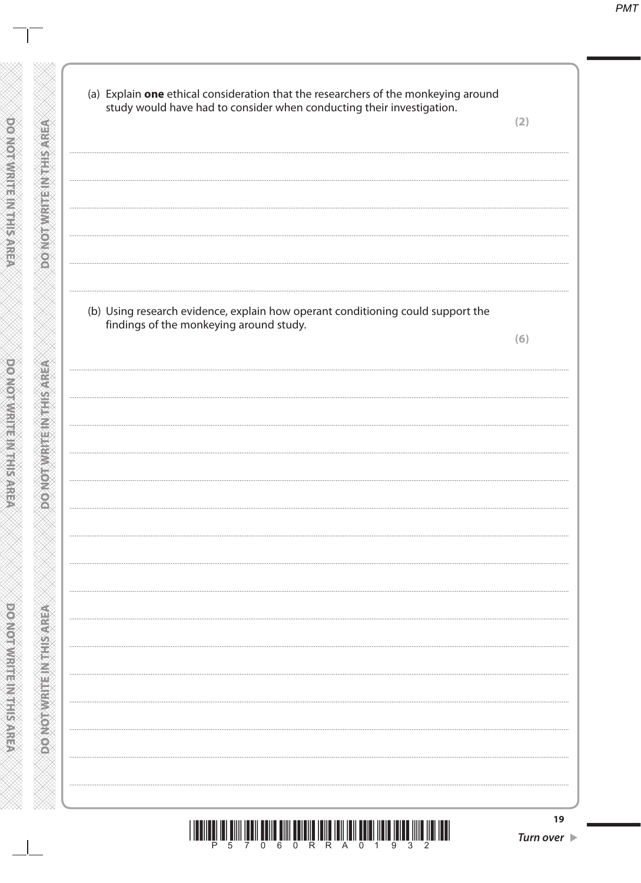| idence, explain how operant conditioning could support the<br>onkeying around study.                             |                  |
|------------------------------------------------------------------------------------------------------------------|------------------|
|                                                                                                                  | (6)              |
|                                                                                                                  |                  |
|                                                                                                                  |                  |
|                                                                                                                  |                  |
|                                                                                                                  |                  |
|                                                                                                                  |                  |
|                                                                                                                  |                  |
|                                                                                                                  |                  |
|                                                                                                                  |                  |
|                                                                                                                  |                  |
|                                                                                                                  |                  |
|                                                                                                                  |                  |
|                                                                                                                  |                  |
|                                                                                                                  |                  |
|                                                                                                                  |                  |
|                                                                                                                  |                  |
|                                                                                                                  |                  |
|                                                                                                                  |                  |
|                                                                                                                  | 19               |
| $\overline{0}$<br>R A<br>$\overline{0}$<br>5<br>6<br>$\overline{0}$<br>$R_{\perp}$<br>9<br>3<br>Ρ<br>7<br>1<br>2 | <b>Turn over</b> |
|                                                                                                                  |                  |

(b) Using research ev

(a) Explain one ethical consideration that the researchers of the monkeying around study would have had to consider when conducting their investigation.

DONOTWRITEINTHSAREA

**DOMORWRITE IN FRISAREA** 

**DOMOTWIRE(MTHISARE)** 

**DOMOTWRITEINTHISMREA** 

**DOMORATE METHODICA** 

**DONOTWRITEINTHSAREM** 

findings of the mo

 $(2)$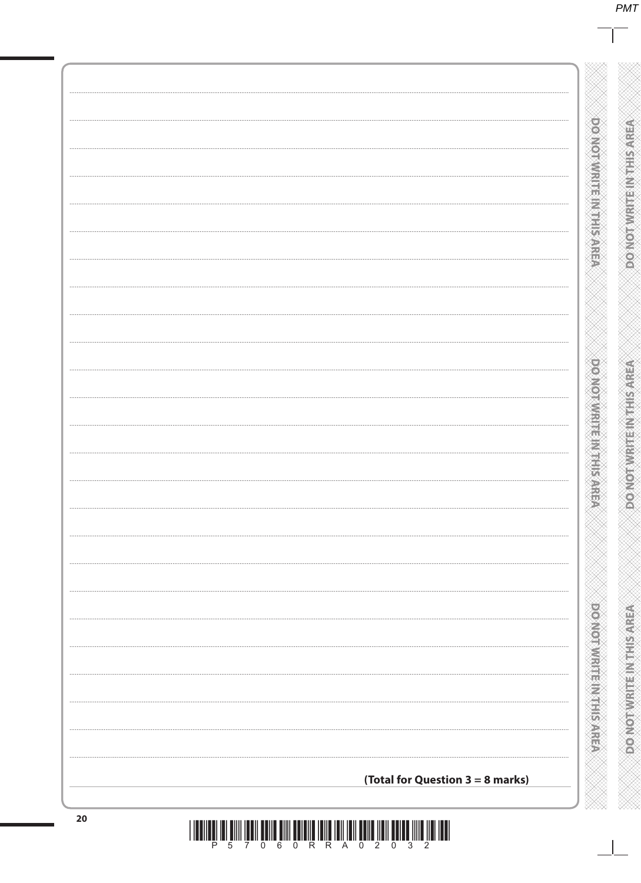| $\breve{}$<br>ś                                                                                                                                                                                                                                                                                                                                                                                                                                                                                                                                                                                                                                                                |                               |        |                                       |                          |
|--------------------------------------------------------------------------------------------------------------------------------------------------------------------------------------------------------------------------------------------------------------------------------------------------------------------------------------------------------------------------------------------------------------------------------------------------------------------------------------------------------------------------------------------------------------------------------------------------------------------------------------------------------------------------------|-------------------------------|--------|---------------------------------------|--------------------------|
| í<br>ć                                                                                                                                                                                                                                                                                                                                                                                                                                                                                                                                                                                                                                                                         |                               |        |                                       |                          |
| $\breve{~}$<br>į                                                                                                                                                                                                                                                                                                                                                                                                                                                                                                                                                                                                                                                               |                               |        |                                       |                          |
| ś                                                                                                                                                                                                                                                                                                                                                                                                                                                                                                                                                                                                                                                                              |                               |        |                                       |                          |
| l                                                                                                                                                                                                                                                                                                                                                                                                                                                                                                                                                                                                                                                                              |                               |        |                                       |                          |
| ć<br>į                                                                                                                                                                                                                                                                                                                                                                                                                                                                                                                                                                                                                                                                         | €                             |        |                                       |                          |
| l                                                                                                                                                                                                                                                                                                                                                                                                                                                                                                                                                                                                                                                                              | Ì<br>Ì,                       | I      |                                       |                          |
| ì<br>$\langle$                                                                                                                                                                                                                                                                                                                                                                                                                                                                                                                                                                                                                                                                 | Œ                             |        |                                       |                          |
| l                                                                                                                                                                                                                                                                                                                                                                                                                                                                                                                                                                                                                                                                              | a                             |        |                                       |                          |
| $\overline{\phantom{a}}$<br>ć<br>ś<br>l                                                                                                                                                                                                                                                                                                                                                                                                                                                                                                                                                                                                                                        |                               |        |                                       |                          |
| l                                                                                                                                                                                                                                                                                                                                                                                                                                                                                                                                                                                                                                                                              | ý<br>F                        |        |                                       |                          |
| ć<br>ś                                                                                                                                                                                                                                                                                                                                                                                                                                                                                                                                                                                                                                                                         | è                             | ś      |                                       | $\overline{\phantom{a}}$ |
| į                                                                                                                                                                                                                                                                                                                                                                                                                                                                                                                                                                                                                                                                              | É<br>$\overline{\phantom{a}}$ | ÷      |                                       |                          |
| ç                                                                                                                                                                                                                                                                                                                                                                                                                                                                                                                                                                                                                                                                              | Ê                             |        |                                       | ć                        |
| ì<br>$\overline{\phantom{a}}$                                                                                                                                                                                                                                                                                                                                                                                                                                                                                                                                                                                                                                                  |                               |        |                                       |                          |
| į                                                                                                                                                                                                                                                                                                                                                                                                                                                                                                                                                                                                                                                                              | ĽÙ                            |        |                                       | ç                        |
| ċ                                                                                                                                                                                                                                                                                                                                                                                                                                                                                                                                                                                                                                                                              |                               |        |                                       |                          |
| ì                                                                                                                                                                                                                                                                                                                                                                                                                                                                                                                                                                                                                                                                              |                               |        |                                       |                          |
| $\overline{a}$                                                                                                                                                                                                                                                                                                                                                                                                                                                                                                                                                                                                                                                                 | Ş                             | ₩      |                                       |                          |
| $\ddot{\phantom{a}}$<br>ć                                                                                                                                                                                                                                                                                                                                                                                                                                                                                                                                                                                                                                                      | H                             | X      |                                       |                          |
| $\ddot{\phantom{a}}$<br>ļ                                                                                                                                                                                                                                                                                                                                                                                                                                                                                                                                                                                                                                                      |                               |        |                                       |                          |
| l                                                                                                                                                                                                                                                                                                                                                                                                                                                                                                                                                                                                                                                                              |                               |        |                                       |                          |
| Ŝ                                                                                                                                                                                                                                                                                                                                                                                                                                                                                                                                                                                                                                                                              |                               |        |                                       |                          |
|                                                                                                                                                                                                                                                                                                                                                                                                                                                                                                                                                                                                                                                                                | Ö<br>Ö                        |        |                                       |                          |
| $\frac{2}{3}$<br>$\frac{1}{2}$                                                                                                                                                                                                                                                                                                                                                                                                                                                                                                                                                                                                                                                 |                               |        |                                       | $\overline{a}$           |
| $\overline{\phantom{a}}$<br>ׇ֦֘֡<br>l<br>$\overline{\phantom{a}}$                                                                                                                                                                                                                                                                                                                                                                                                                                                                                                                                                                                                              |                               |        |                                       |                          |
| ć                                                                                                                                                                                                                                                                                                                                                                                                                                                                                                                                                                                                                                                                              | j                             |        |                                       |                          |
| $\overline{\phantom{a}}$<br>ł                                                                                                                                                                                                                                                                                                                                                                                                                                                                                                                                                                                                                                                  |                               |        |                                       |                          |
| ć                                                                                                                                                                                                                                                                                                                                                                                                                                                                                                                                                                                                                                                                              | I                             |        |                                       |                          |
| ś<br>è                                                                                                                                                                                                                                                                                                                                                                                                                                                                                                                                                                                                                                                                         |                               |        |                                       |                          |
| ć<br>l                                                                                                                                                                                                                                                                                                                                                                                                                                                                                                                                                                                                                                                                         | j                             |        |                                       |                          |
| ċ<br>è                                                                                                                                                                                                                                                                                                                                                                                                                                                                                                                                                                                                                                                                         |                               |        |                                       |                          |
| ć                                                                                                                                                                                                                                                                                                                                                                                                                                                                                                                                                                                                                                                                              |                               |        |                                       |                          |
| ć<br>ł                                                                                                                                                                                                                                                                                                                                                                                                                                                                                                                                                                                                                                                                         |                               |        |                                       |                          |
| ć<br>ć                                                                                                                                                                                                                                                                                                                                                                                                                                                                                                                                                                                                                                                                         |                               |        |                                       |                          |
| ì<br>í                                                                                                                                                                                                                                                                                                                                                                                                                                                                                                                                                                                                                                                                         | j                             |        |                                       |                          |
| ć<br>ś                                                                                                                                                                                                                                                                                                                                                                                                                                                                                                                                                                                                                                                                         | ۲                             |        |                                       |                          |
| l                                                                                                                                                                                                                                                                                                                                                                                                                                                                                                                                                                                                                                                                              | Í                             | 1      | $\begin{array}{c} \hline \end{array}$ |                          |
| $\overline{a}$<br>ċ<br>ś                                                                                                                                                                                                                                                                                                                                                                                                                                                                                                                                                                                                                                                       | Ò                             | ×<br>ý |                                       |                          |
| ć<br>$\overline{a}$                                                                                                                                                                                                                                                                                                                                                                                                                                                                                                                                                                                                                                                            | ă                             | ø      |                                       |                          |
| $\overline{\phantom{a}}$<br>ć<br>ı<br>ì                                                                                                                                                                                                                                                                                                                                                                                                                                                                                                                                                                                                                                        | Ù,                            | w<br>í |                                       |                          |
| $\overline{\phantom{a}}$<br>j,                                                                                                                                                                                                                                                                                                                                                                                                                                                                                                                                                                                                                                                 | a<br>T                        | ŕ<br>à |                                       |                          |
| š<br>L K K                                                                                                                                                                                                                                                                                                                                                                                                                                                                                                                                                                                                                                                                     |                               |        |                                       |                          |
| $\overline{a}$<br>é                                                                                                                                                                                                                                                                                                                                                                                                                                                                                                                                                                                                                                                            | ķ                             | ś      |                                       |                          |
| $\ddot{\phantom{0}}$                                                                                                                                                                                                                                                                                                                                                                                                                                                                                                                                                                                                                                                           | Z<br>X                        |        |                                       |                          |
| $\tilde{\phantom{a}}$                                                                                                                                                                                                                                                                                                                                                                                                                                                                                                                                                                                                                                                          |                               |        |                                       |                          |
| Ş                                                                                                                                                                                                                                                                                                                                                                                                                                                                                                                                                                                                                                                                              | û)<br>Ç                       |        |                                       |                          |
|                                                                                                                                                                                                                                                                                                                                                                                                                                                                                                                                                                                                                                                                                | Ł,<br>é                       |        |                                       |                          |
| l                                                                                                                                                                                                                                                                                                                                                                                                                                                                                                                                                                                                                                                                              | Œ                             |        |                                       |                          |
|                                                                                                                                                                                                                                                                                                                                                                                                                                                                                                                                                                                                                                                                                | 嵳<br>×                        | à      |                                       |                          |
|                                                                                                                                                                                                                                                                                                                                                                                                                                                                                                                                                                                                                                                                                | Ю                             | ļ      |                                       |                          |
| ś                                                                                                                                                                                                                                                                                                                                                                                                                                                                                                                                                                                                                                                                              |                               |        |                                       |                          |
| ć<br>l<br>l                                                                                                                                                                                                                                                                                                                                                                                                                                                                                                                                                                                                                                                                    | $\odot$                       |        |                                       |                          |
| ì<br>ć<br>ç                                                                                                                                                                                                                                                                                                                                                                                                                                                                                                                                                                                                                                                                    |                               |        |                                       |                          |
| ¢<br>Š                                                                                                                                                                                                                                                                                                                                                                                                                                                                                                                                                                                                                                                                         | Ò<br>R                        |        |                                       |                          |
| ĵ<br>í                                                                                                                                                                                                                                                                                                                                                                                                                                                                                                                                                                                                                                                                         | Ã                             |        |                                       | ć                        |
| Ş<br>l                                                                                                                                                                                                                                                                                                                                                                                                                                                                                                                                                                                                                                                                         | l<br>j<br>Í                   |        |                                       |                          |
| $\overline{a}$<br>ì                                                                                                                                                                                                                                                                                                                                                                                                                                                                                                                                                                                                                                                            | $\overline{\phantom{a}}$      |        |                                       | ć                        |
| $\begin{array}{c} \xarrow{\zeta} \xrightarrow{\zeta} \xrightarrow{\zeta} \xrightarrow{\zeta} \xrightarrow{\zeta} \xrightarrow{\zeta} \xrightarrow{\zeta} \xrightarrow{\zeta} \xrightarrow{\zeta} \xrightarrow{\zeta} \xrightarrow{\zeta} \xrightarrow{\zeta} \xrightarrow{\zeta} \xrightarrow{\zeta} \xrightarrow{\zeta} \xrightarrow{\zeta} \xrightarrow{\zeta} \xrightarrow{\zeta} \xrightarrow{\zeta} \xrightarrow{\zeta} \xrightarrow{\zeta} \xrightarrow{\zeta} \xrightarrow{\zeta} \xrightarrow{\zeta} \xrightarrow{\zeta} \xrightarrow{\zeta} \xrightarrow{\zeta} \xrightarrow{\zeta} \xrightarrow{\zeta} \xrightarrow{\zeta} \xrightarrow$<br>$\overline{\phantom{a}}$ | $\overline{\phantom{a}}$<br>j |        |                                       |                          |
| ĵ<br>$\frac{1}{2}$<br>í                                                                                                                                                                                                                                                                                                                                                                                                                                                                                                                                                                                                                                                        | $\ddot{\phantom{0}}$<br>j     |        |                                       | ¢                        |
| i<br>ć<br>ׇ֦֘֝                                                                                                                                                                                                                                                                                                                                                                                                                                                                                                                                                                                                                                                                 | $\overline{\phantom{a}}$<br>l |        |                                       |                          |
| í<br>$\frac{1}{2}$                                                                                                                                                                                                                                                                                                                                                                                                                                                                                                                                                                                                                                                             |                               |        |                                       |                          |
| l<br>ć                                                                                                                                                                                                                                                                                                                                                                                                                                                                                                                                                                                                                                                                         | l<br>ċ                        |        |                                       |                          |
|                                                                                                                                                                                                                                                                                                                                                                                                                                                                                                                                                                                                                                                                                |                               |        |                                       |                          |

|  | (Total for Question 3 = 8 marks) |                           |
|--|----------------------------------|---------------------------|
|  |                                  | <b>CONSTRUCTION</b><br>Ų. |
|  |                                  |                           |
|  |                                  |                           |
|  |                                  |                           |
|  |                                  |                           |
|  |                                  | 煛                         |
|  |                                  |                           |

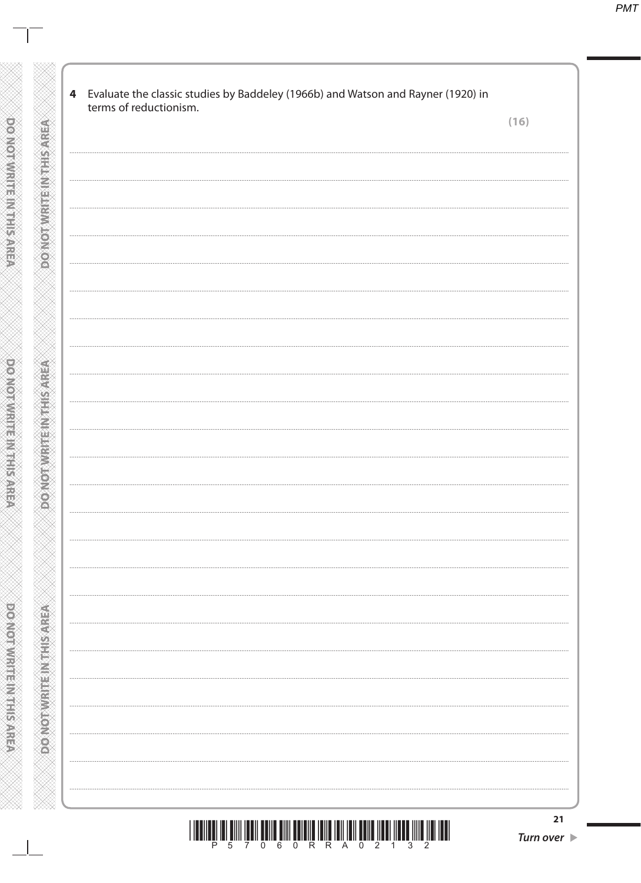| <u>TITELI IN DIE EERSTE KONFEDERATIE IN DIE STELBEN VAN DIE BEVOLGEN EN DIE BEGINNE DIE BEGINNE DIE BEGINNE DIE B</u><br>P<br>5<br>$\mathbf{0}$<br>R<br>R<br>$\overline{A}$<br>$\overline{2}$<br>3<br>$\overline{2}$<br>6<br>$\overline{0}$<br>0<br>7. | 21<br>Turn over $\blacktriangleright$ |
|--------------------------------------------------------------------------------------------------------------------------------------------------------------------------------------------------------------------------------------------------------|---------------------------------------|
|                                                                                                                                                                                                                                                        |                                       |

Evaluate the classic studies by Baddeley (1966b) and Watson and Rayner (1920) in

 $\overline{\mathbf{4}}$ 

DONOTWRITEINTHISAREN

**DOONOTOWRITES MOTER AREA** 

**DONOTWIRE(MTHISAREA** 

**AFRICA HILLE IN ANOTHER ORIGIN** 

**VERWESTER MEETING ON COTTO** 

**VERWSHILM IN EMPLOYMENT** 

terms of reductionism.

PMT

 $(16)$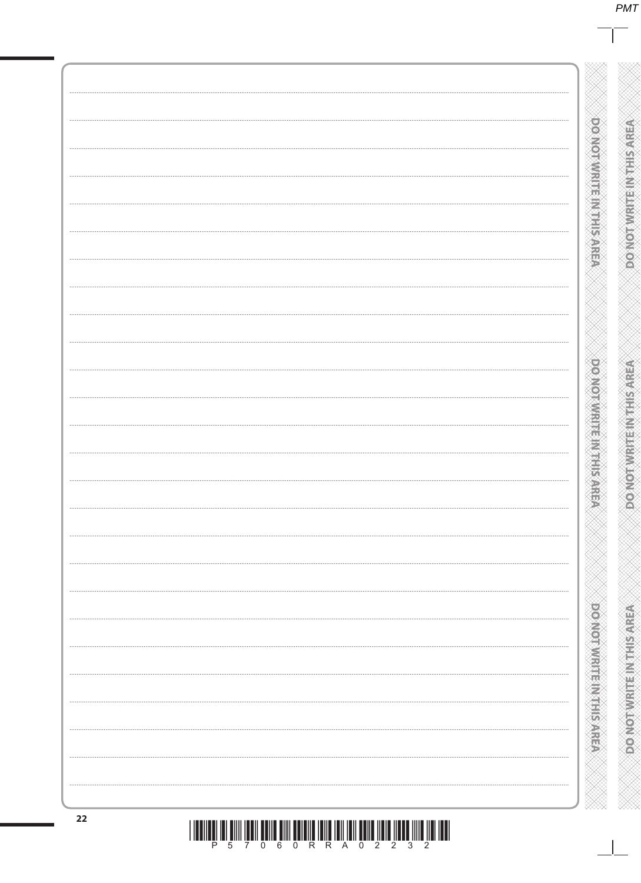| P 5 7 0 6 0 R R A 0 2 2 3 2 |  |  |  |  |  |  |  |
|-----------------------------|--|--|--|--|--|--|--|

| .  |                            |
|----|----------------------------|
|    |                            |
|    |                            |
|    | el<br>S                    |
|    |                            |
|    |                            |
|    |                            |
| .  |                            |
|    | ž                          |
|    |                            |
|    |                            |
|    |                            |
|    |                            |
|    | policity with the property |
|    |                            |
|    |                            |
|    |                            |
| 22 |                            |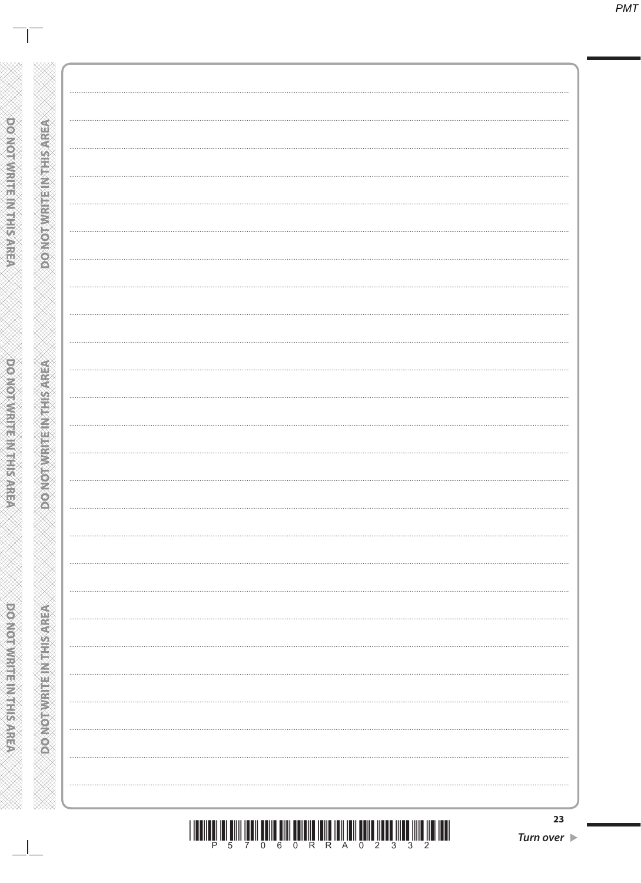|      | Ź<br>M<br>õ |
|------|-------------|
| <br> |             |
|      |             |
|      |             |
|      |             |
|      |             |
|      |             |
|      |             |
|      |             |
|      |             |
|      |             |

 $\sim 1$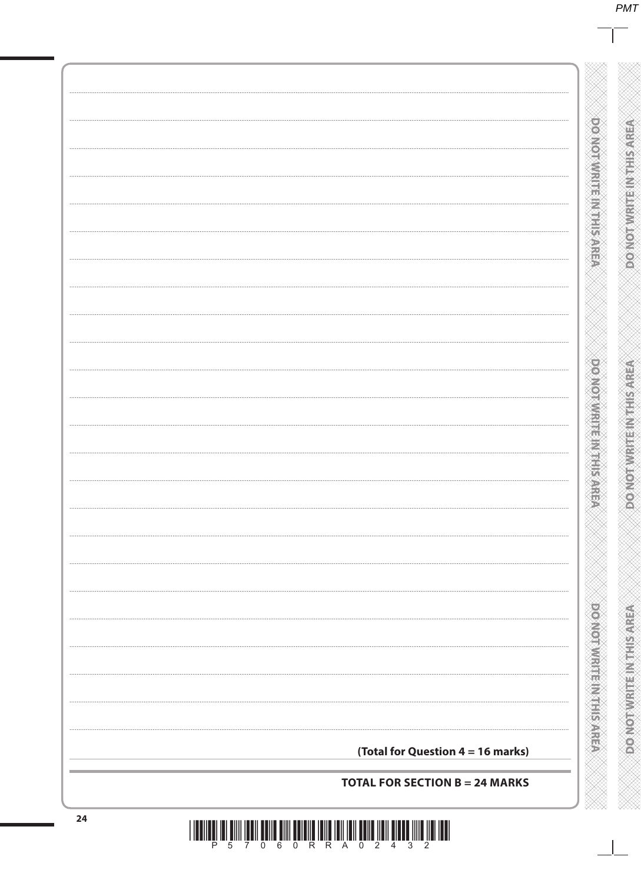| Ô             |                         |
|---------------|-------------------------|
|               |                         |
|               |                         |
|               |                         |
|               |                         |
|               | <u>么</u>                |
|               |                         |
|               |                         |
|               |                         |
|               |                         |
| ò             | 쯉                       |
|               | b<br>R                  |
|               |                         |
|               |                         |
| i<br>V        |                         |
|               |                         |
|               |                         |
|               |                         |
| fi<br>Ç       |                         |
|               | á                       |
|               | Ľ                       |
|               |                         |
|               |                         |
|               |                         |
|               |                         |
|               |                         |
|               |                         |
|               |                         |
|               |                         |
|               |                         |
|               |                         |
|               |                         |
|               |                         |
|               | ۲                       |
|               | m                       |
|               | ò.                      |
|               |                         |
|               |                         |
|               |                         |
|               |                         |
|               |                         |
|               |                         |
| I             |                         |
|               | ņ                       |
|               |                         |
|               |                         |
|               |                         |
|               |                         |
| ţ             |                         |
|               |                         |
|               |                         |
| 1             | $\bullet$               |
| J)            |                         |
|               |                         |
|               |                         |
|               |                         |
|               |                         |
|               |                         |
|               |                         |
|               |                         |
|               |                         |
|               |                         |
|               |                         |
|               |                         |
|               |                         |
|               |                         |
|               |                         |
| Ö             | Š                       |
|               | ÊĤ                      |
|               | Œ                       |
| $\frac{1}{2}$ |                         |
| ť             |                         |
|               | E<br>S                  |
| Ĭ<br>si       |                         |
|               |                         |
|               | ننيته                   |
| E<br>E        |                         |
|               | Ŵ                       |
| 枣<br>×        | $\mathbb{E}% _{t}$<br>ë |
|               | ρč                      |
|               | E                       |
|               |                         |
|               |                         |
|               |                         |
|               |                         |
|               | Õ                       |
|               | ô                       |
|               |                         |
|               |                         |



(Total for Question 4 = 16 marks)

**TOTAL FOR SECTION B = 24 MARKS**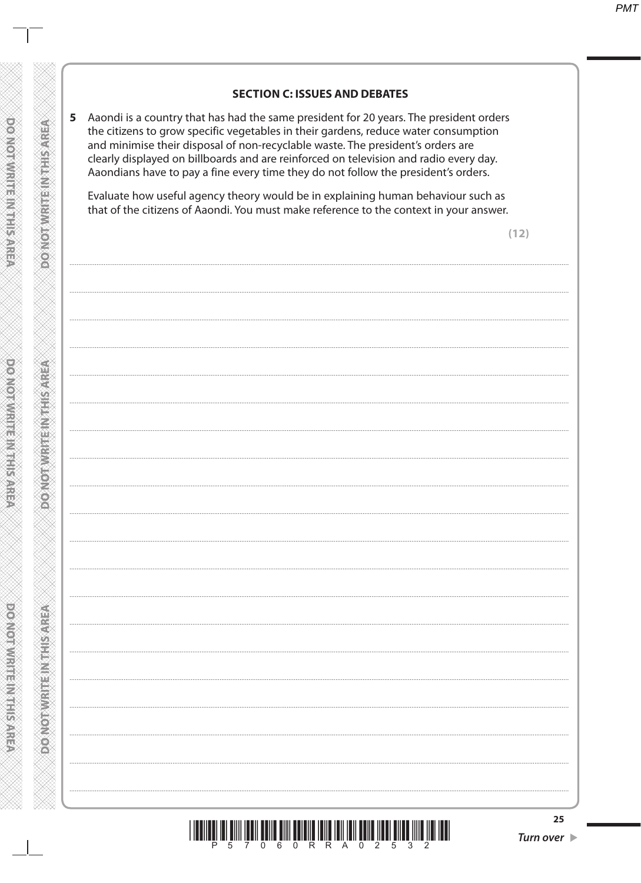## **SECTION C: ISSUES AND DEBATES**

5 Aaondi is a country that has had the same president for 20 years. The president orders the citizens to grow specific vegetables in their gardens, reduce water consumption and minimise their disposal of non-recyclable waste. The president's orders are clearly displayed on billboards and are reinforced on television and radio every day. Aaondians have to pay a fine every time they do not follow the president's orders.

Evaluate how useful agency theory would be in explaining human behaviour such as that of the citizens of Aaondi. You must make reference to the context in your answer.

 $\overline{5}$ 

 $(12)$ 

25

**BOXIOTALISTS** 

**DONOIMENT RIMES** 

**THIS AREA** 

Ž

**DONG** 

**THE SANTA** 

**Marian** 

**DONA**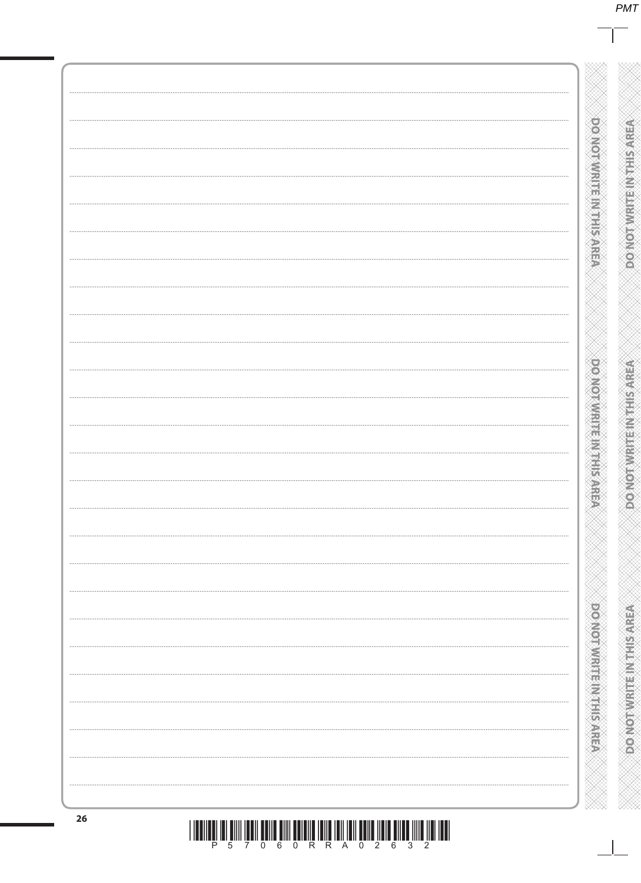|  |  |  |  | TANAH INI ANI HALAMATAN DAN BERASA DAN SERIESA DAN SERIESA DAN SERIESA DAN SERIESA DAN SERIESA DAN SERIESA DA |  |  |  |
|--|--|--|--|---------------------------------------------------------------------------------------------------------------|--|--|--|
|  |  |  |  | P 5 7 0 6 0 R R A 0 2 6 3 2                                                                                   |  |  |  |

| <br>ž<br><br>ó.<br>ze<br>U<br>.<br>ž<br><b>DO NORMALE DE NESTRES</b> | 26 |  |  |  |
|----------------------------------------------------------------------|----|--|--|--|
|                                                                      |    |  |  |  |
|                                                                      |    |  |  |  |
|                                                                      |    |  |  |  |
|                                                                      |    |  |  |  |
|                                                                      |    |  |  |  |
|                                                                      |    |  |  |  |
|                                                                      |    |  |  |  |
|                                                                      |    |  |  |  |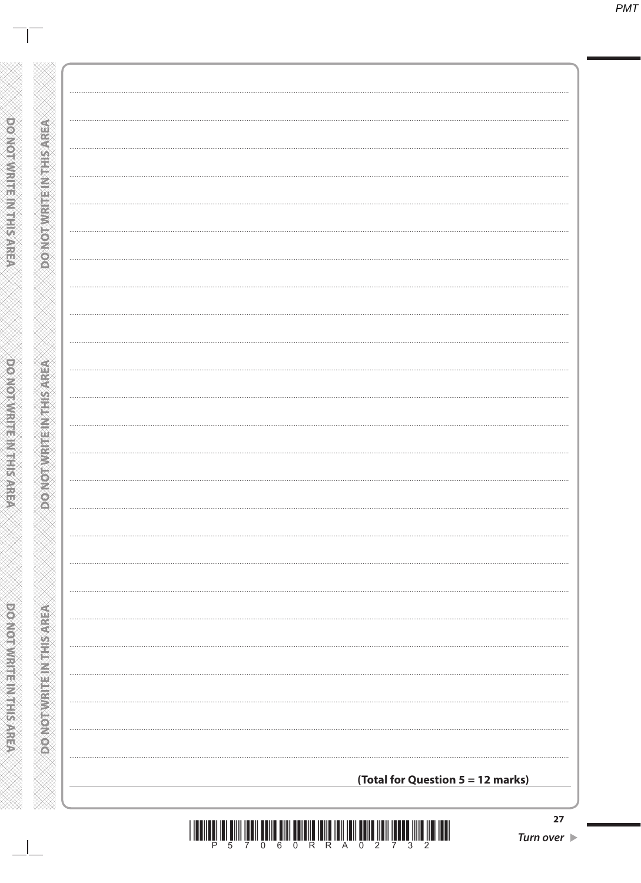| Ø<br>E<br>M |      |
|-------------|------|
| m           | <br> |

 $\Box$ 

 $\perp$ 

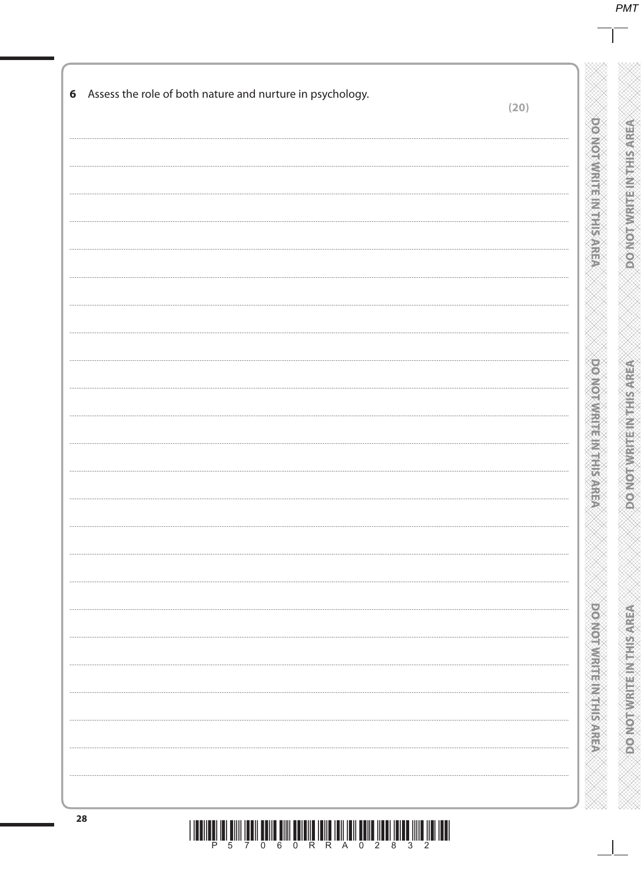|  |  |  |  |                             |  |  | I DOIN DOING AN DEAL AN DEAL D'ANN D'AIRIN A DHA DAN D'AIRIN D'AIRIN AN DAOIR AN DEAL ANN AN DAOIR A |  |
|--|--|--|--|-----------------------------|--|--|------------------------------------------------------------------------------------------------------|--|
|  |  |  |  | P 5 7 0 6 0 R R A 0 2 8 3 2 |  |  |                                                                                                      |  |

 $\overline{\phantom{a}}$ 

| 6 Assess the role of both nature and nurture in psychology. | (20) | 5                                                     |                                |
|-------------------------------------------------------------|------|-------------------------------------------------------|--------------------------------|
|                                                             |      | <b>REFERENCE PRESSURE</b>                             | MERINAIONOC                    |
|                                                             |      | Ş<br>.                                                | <b>Marat</b><br>6              |
|                                                             |      | $\frac{8}{6}$<br>.<br>Not WRITE IN THIS AFE<br>.<br>. | <b>REPAREL PRINTED MARGINS</b> |

**PMT** 

 $\overline{a}$  $\overline{\phantom{a}}$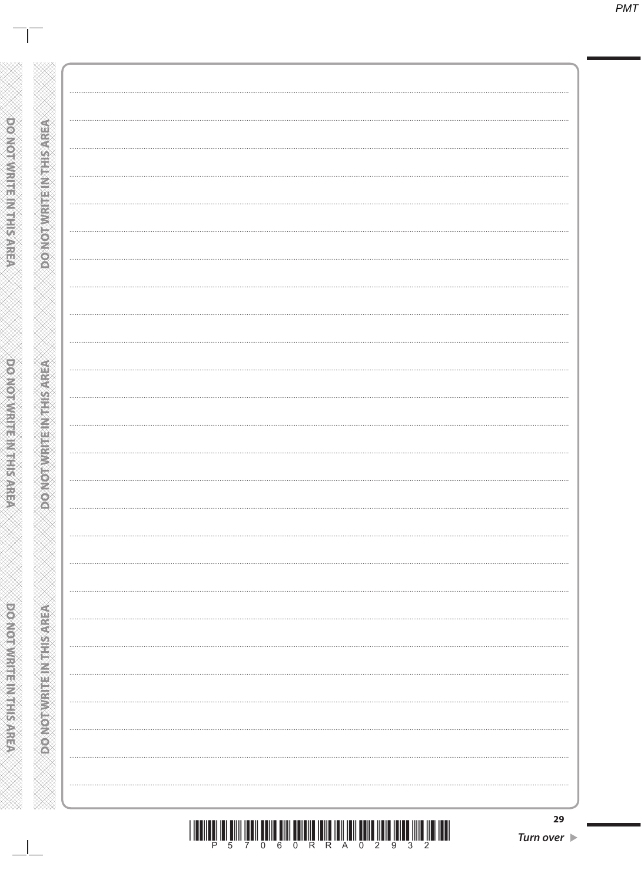| fi<br>aa | Ŵ,<br>Š |
|----------|---------|
| <br><br> |         |
|          |         |
|          |         |
|          |         |
|          |         |
|          |         |
|          |         |
|          |         |
|          |         |

 $\mathbb{R}$ 

 $\Box$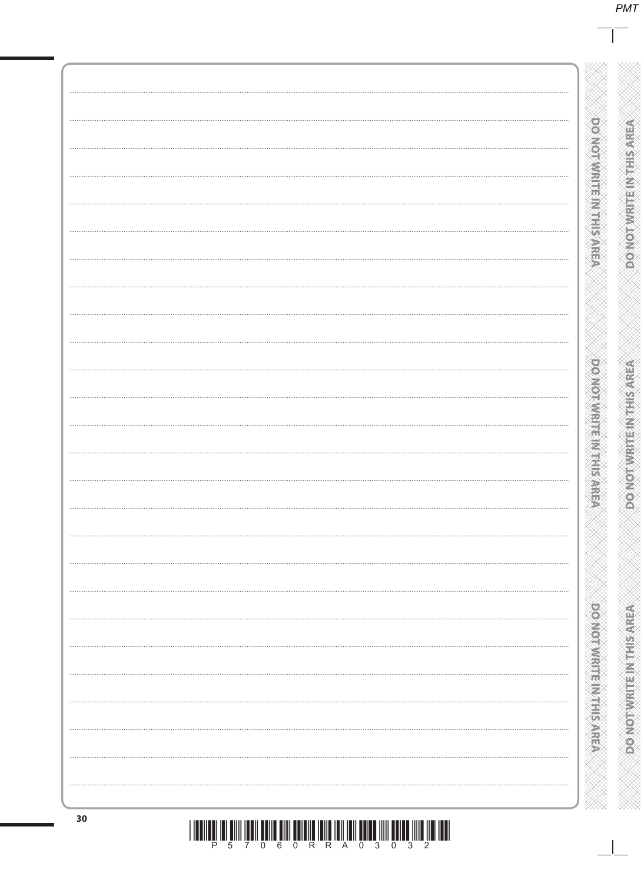|  |  |  |  |  |  | TENER I III BIN IETH BIN BIN BIN BEREIT I HE FEN BEREIT IN BEREIT DER BEREIT |  |  |
|--|--|--|--|--|--|------------------------------------------------------------------------------|--|--|
|  |  |  |  |  |  | P 5 7 0 6 0 R R A 0 3 0 3 2                                                  |  |  |

| 30 | $\blacksquare$ | <u>II III DIIII ILDII DOINE DIIII DOINE IBIQ IBIL IBI DOI DOINE IIII DOINE IIII ILDI III I</u> |  |                                      |
|----|----------------|------------------------------------------------------------------------------------------------|--|--------------------------------------|
|    |                |                                                                                                |  | <b>Die Verlaufen und erhalt eine</b> |
|    |                |                                                                                                |  | 5<br>CENTER<br>History<br>Ż          |
|    |                |                                                                                                |  | <b>MRITE IN ERITS</b><br>            |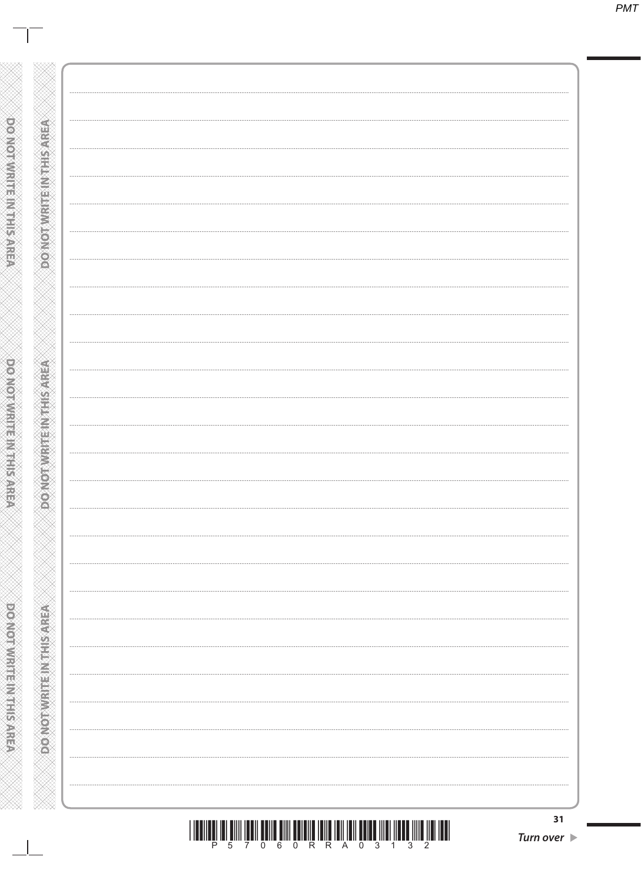| fi<br>aa<br>ď. | HSABA |
|----------------|-------|
| <br><br><br>   |       |
|                |       |
|                |       |
|                |       |
|                |       |
|                |       |
|                |       |
|                |       |
|                |       |